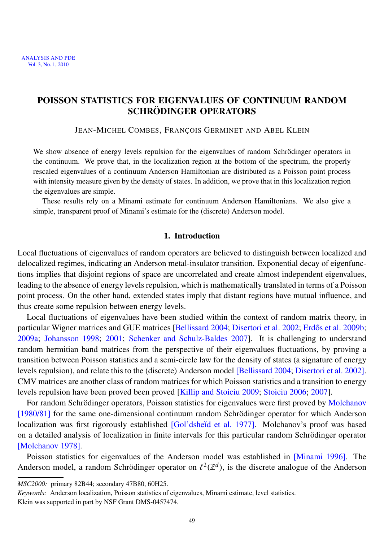## POISSON STATISTICS FOR EIGENVALUES OF CONTINUUM RANDOM SCHRÖDINGER OPERATORS

JEAN-MICHEL COMBES, FRANÇOIS GERMINET AND ABEL KLEIN

We show absence of energy levels repulsion for the eigenvalues of random Schrödinger operators in the continuum. We prove that, in the localization region at the bottom of the spectrum, the properly rescaled eigenvalues of a continuum Anderson Hamiltonian are distributed as a Poisson point process with intensity measure given by the density of states. In addition, we prove that in this localization region the eigenvalues are simple.

These results rely on a Minami estimate for continuum Anderson Hamiltonians. We also give a simple, transparent proof of Minami's estimate for the (discrete) Anderson model.

### 1. Introduction

Local fluctuations of eigenvalues of random operators are believed to distinguish between localized and delocalized regimes, indicating an Anderson metal-insulator transition. Exponential decay of eigenfunctions implies that disjoint regions of space are uncorrelated and create almost independent eigenvalues, leading to the absence of energy levels repulsion, which is mathematically translated in terms of a Poisson point process. On the other hand, extended states imply that distant regions have mutual influence, and thus create some repulsion between energy levels.

Local fluctuations of eigenvalues have been studied within the context of random matrix theory, in particular Wigner matrices and GUE matrices [\[Bellissard 2004;](#page-30-0) [Disertori et al. 2002;](#page-30-1) Erdős et al. 2009b; [2009a;](#page-30-3) [Johansson 1998;](#page-31-0) [2001;](#page-31-1) [Schenker and Schulz-Baldes 2007\]](#page-32-0). It is challenging to understand random hermitian band matrices from the perspective of their eigenvalues fluctuations, by proving a transition between Poisson statistics and a semi-circle law for the density of states (a signature of energy levels repulsion), and relate this to the (discrete) Anderson model [\[Bellissard 2004;](#page-30-0) [Disertori et al. 2002\]](#page-30-1). CMV matrices are another class of random matrices for which Poisson statistics and a transition to energy levels repulsion have been proved been proved [\[Killip and Stoiciu 2009;](#page-31-2) [Stoiciu 2006;](#page-32-1) [2007\]](#page-32-2).

For random Schrödinger operators, Poisson statistics for eigenvalues were first proved by [Molchanov](#page-32-3) [\[1980/81\]](#page-32-3) for the same one-dimensional continuum random Schrödinger operator for which Anderson localization was first rigorously established [Gol'dsheĭd et al. 1977]. Molchanov's proof was based on a detailed analysis of localization in finite intervals for this particular random Schrödinger operator [\[Molchanov 1978\]](#page-32-4).

Poisson statistics for eigenvalues of the Anderson model was established in [\[Minami 1996\]](#page-32-5). The Anderson model, a random Schrödinger operator on  $\ell^2(\mathbb{Z}^d)$ , is the discrete analogue of the Anderson

*MSC2000:* primary 82B44; secondary 47B80, 60H25.

*Keywords:* Anderson localization, Poisson statistics of eigenvalues, Minami estimate, level statistics. Klein was supported in part by NSF Grant DMS-0457474.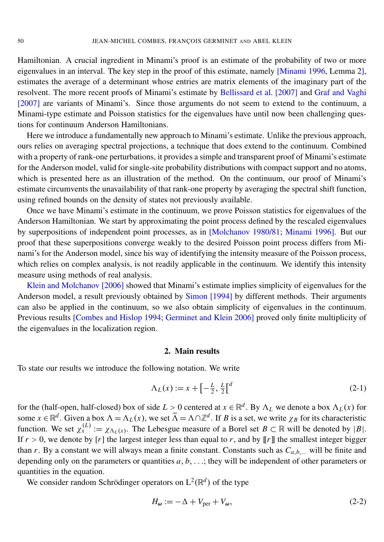Hamiltonian. A crucial ingredient in Minami's proof is an estimate of the probability of two or more eigenvalues in an interval. The key step in the proof of this estimate, namely [\[Minami 1996,](#page-32-5) Lemma 2], estimates the average of a determinant whose entries are matrix elements of the imaginary part of the resolvent. The more recent proofs of Minami's estimate by [Bellissard et al.](#page-30-4) [2007] and [Graf and Vaghi](#page-31-4) [\[2007\]](#page-31-4) are variants of Minami's. Since those arguments do not seem to extend to the continuum, a Minami-type estimate and Poisson statistics for the eigenvalues have until now been challenging questions for continuum Anderson Hamiltonians.

Here we introduce a fundamentally new approach to Minami's estimate. Unlike the previous approach, ours relies on averaging spectral projections, a technique that does extend to the continuum. Combined with a property of rank-one perturbations, it provides a simple and transparent proof of Minami's estimate for the Anderson model, valid for single-site probability distributions with compact support and no atoms, which is presented here as an illustration of the method. On the continuum, our proof of Minami's estimate circumvents the unavailability of that rank-one property by averaging the spectral shift function, using refined bounds on the density of states not previously available.

Once we have Minami's estimate in the continuum, we prove Poisson statistics for eigenvalues of the Anderson Hamiltonian. We start by approximating the point process defined by the rescaled eigenvalues by superpositions of independent point processes, as in [\[Molchanov 1980/81;](#page-32-3) [Minami 1996\]](#page-32-5). But our proof that these superpositions converge weakly to the desired Poisson point process differs from Minami's for the Anderson model, since his way of identifying the intensity measure of the Poisson process, which relies on complex analysis, is not readily applicable in the continuum. We identify this intensity measure using methods of real analysis.

[Klein and Molchanov](#page-31-5) [2006] showed that Minami's estimate implies simplicity of eigenvalues for the Anderson model, a result previously obtained by [Simon](#page-32-6) [1994] by different methods. Their arguments can also be applied in the continuum, so we also obtain simplicity of eigenvalues in the continuum. Previous results [\[Combes and Hislop 1994;](#page-30-5) [Germinet and Klein 2006\]](#page-31-6) proved only finite multiplicity of the eigenvalues in the localization region.

#### 2. Main results

To state our results we introduce the following notation. We write

$$
\Lambda_L(x) := x + \left[ -\frac{L}{2}, \frac{L}{2} \right]^{d} \tag{2-1}
$$

for the (half-open, half-closed) box of side  $L > 0$  centered at  $x \in \mathbb{R}^d$ . By  $\Lambda_L$  we denote a box  $\Lambda_L(x)$  for some  $x \in \mathbb{R}^d$ . Given a box  $\Lambda = \Lambda_L(x)$ , we set  $\widetilde{\Lambda} = \Lambda \cap \mathbb{Z}^d$ . If *B* is a set, we write  $\chi_B$  for its characteristic function. We set  $\chi_x^{(L)} := \chi_{\Lambda_L(x)}$ . The Lebesgue measure of a Borel set  $B \subset \mathbb{R}$  will be denoted by  $|B|$ . If  $r > 0$ , we denote by [*r*] the largest integer less than equal to *r*, and by [[*r*]] the smallest integer bigger than *r*. By a constant we will always mean a finite constant. Constants such as  $C_{a,b,...}$  will be finite and depending only on the parameters or quantities *a*, *b*, . . .; they will be independent of other parameters or quantities in the equation.

We consider random Schrödinger operators on  $L^2(\mathbb{R}^d)$  of the type

<span id="page-2-0"></span>
$$
H_{\omega} := -\Delta + V_{\text{per}} + V_{\omega},\tag{2-2}
$$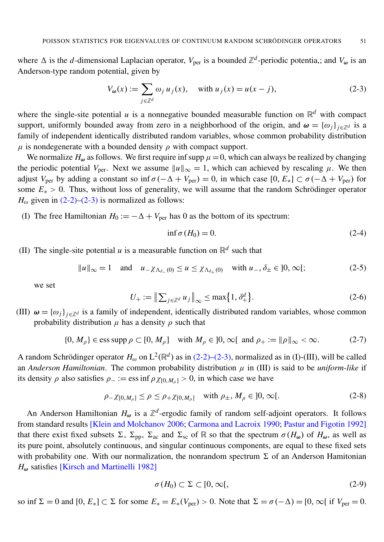where  $\Delta$  is the *d*-dimensional Laplacian operator,  $V_{\text{per}}$  is a bounded  $\mathbb{Z}^d$ -periodic potentia,; and  $V_{\omega}$  is an Anderson-type random potential, given by

<span id="page-3-0"></span>
$$
V_{\omega}(x) := \sum_{j \in \mathbb{Z}^d} \omega_j u_j(x), \quad \text{with } u_j(x) = u(x - j), \tag{2-3}
$$

where the single-site potential  $u$  is a nonnegative bounded measurable function on  $\mathbb{R}^d$  with compact support, uniformly bounded away from zero in a neighborhood of the origin, and  $\omega = {\omega_i}_{i \in \mathbb{Z}^d}$  is a family of independent identically distributed random variables, whose common probability distribution  $\mu$  is nondegenerate with a bounded density  $\rho$  with compact support.

We normalize  $H_{\omega}$  as follows. We first require inf supp  $\mu=0$ , which can always be realized by changing the periodic potential  $V_{\text{per}}$ . Next we assume  $||u||_{\infty} = 1$ , which can achieved by rescaling  $\mu$ . We then adjust *V*<sub>per</sub> by adding a constant so inf  $\sigma(-\Delta + V_{\text{per}}) = 0$ , in which case  $[0, E_*] \subset \sigma(-\Delta + V_{\text{per}})$  for some  $E_* > 0$ . Thus, without loss of generality, we will assume that the random Schrödinger operator  $H_{\omega}$  given in  $(2-2)-(2-3)$  $(2-2)-(2-3)$  is normalized as follows:

(I) The free Hamiltonian  $H_0 := -\Delta + V_{\text{per}}$  has 0 as the bottom of its spectrum:

<span id="page-3-3"></span>
$$
\inf \sigma(H_0) = 0. \tag{2-4}
$$

(II) The single-site potential *u* is a measurable function on  $\mathbb{R}^d$  such that

$$
||u||_{\infty} = 1 \quad \text{and} \quad u_{-\chi_{\Lambda_{\delta-}}(0)} \le u \le \chi_{\Lambda_{\delta+}(0)} \quad \text{with } u_{-}, \delta_{\pm} \in ]0, \infty[;
$$
 (2-5)

we set

<span id="page-3-1"></span>
$$
U_{+} := \left\| \sum_{j \in \mathbb{Z}^d} u_j \right\|_{\infty} \le \max\{1, \delta_+^d\}. \tag{2-6}
$$

(III)  $\omega = {\omega_j}_{j \in \mathbb{Z}^d}$  is a family of independent, identically distributed random variables, whose common probability distribution  $\mu$  has a density  $\rho$  such that

$$
\{0, M_{\rho}\} \in \text{ess supp } \rho \subset [0, M_{\rho}] \quad \text{with } M_{\rho} \in ]0, \infty[ \text{ and } \rho_{+} := ||\rho||_{\infty} < \infty. \tag{2-7}
$$

A random Schrödinger operator  $H_{\omega}$  on  $L^2(\mathbb{R}^d)$  as in [\(2-2\)–](#page-2-0)[\(2-3\),](#page-3-0) normalized as in (I)-(III), will be called an *Anderson Hamiltonian*. The common probability distribution  $\mu$  in (III) is said to be *uniform-like* if its density  $\rho$  also satisfies  $\rho_- := \text{ess inf } \rho \chi_{[0,M_0]} > 0$ , in which case we have

$$
\rho_{-\chi[0,M_{\rho}]} \le \rho \le \rho_{+\chi[0,M_{\rho}]} \quad \text{with } \rho_{\pm}, M_{\rho} \in ]0,\infty[.
$$
 (2-8)

An Anderson Hamiltonian  $H_{\omega}$  is a  $\mathbb{Z}^d$ -ergodic family of random self-adjoint operators. It follows from standard results [\[Klein and Molchanov 2006;](#page-31-5) [Carmona and Lacroix 1990;](#page-30-6) [Pastur and Figotin 1992\]](#page-32-7) that there exist fixed subsets  $\Sigma$ ,  $\Sigma_{\text{pp}}$ ,  $\Sigma_{\text{ac}}$  and  $\Sigma_{\text{sc}}$  of R so that the spectrum  $\sigma(H_{\omega})$  of  $H_{\omega}$ , as well as its pure point, absolutely continuous, and singular continuous components, are equal to these fixed sets with probability one. With our normalization, the nonrandom spectrum  $\Sigma$  of an Anderson Hamitonian *H*<sup>ω</sup> satisfies [\[Kirsch and Martinelli 1982\]](#page-31-7)

<span id="page-3-2"></span>
$$
\sigma(H_0) \subset \Sigma \subset [0,\infty[, \tag{2-9}
$$

so inf  $\Sigma = 0$  and  $[0, E_*] \subset \Sigma$  for some  $E_* = E_*(V_{\text{per}}) > 0$ . Note that  $\Sigma = \sigma(-\Delta) = [0, \infty]$  if  $V_{\text{per}} = 0$ .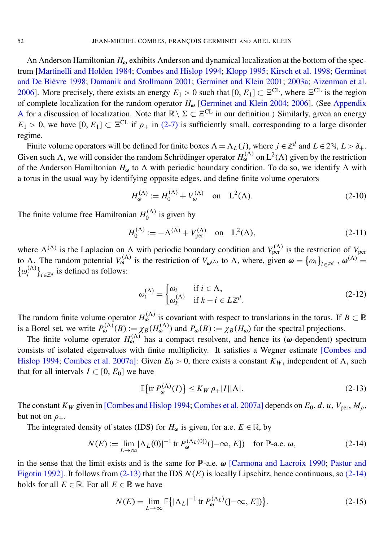An Anderson Hamiltonian  $H_{\omega}$  exhibits Anderson and dynamical localization at the bottom of the spectrum [\[Martinelli and Holden 1984;](#page-31-8) [Combes and Hislop 1994;](#page-30-5) [Klopp 1995;](#page-31-9) [Kirsch et al. 1998;](#page-31-10) [Germinet](#page-31-11) and De Bièvre 1998; [Damanik and Stollmann 2001;](#page-30-7) [Germinet and Klein](#page-31-12) [2001;](#page-31-12) [2003a;](#page-31-13) [Aizenman et al.](#page-30-8) [2006\]](#page-30-8). More precisely, there exists an energy  $E_1 > 0$  such that  $[0, E_1] \subset \Xi^{\text{CL}}$ , where  $\Xi^{\text{CL}}$  is the region of complete localization for the random operator *H*<sup>ω</sup> [\[Germinet and Klein](#page-31-14) [2004;](#page-31-14) [2006\]](#page-31-6). (See [Appendix](#page-27-0) [A](#page-27-0) for a discussion of localization. Note that  $\mathbb{R} \setminus \Sigma \subset \Xi^{CL}$  in our definition.) Similarly, given an energy  $E_1 > 0$ , we have  $[0, E_1] \subset \Xi^{\text{CL}}$  if  $\rho_+$  in [\(2-7\)](#page-3-1) is sufficiently small, corresponding to a large disorder regime.

Finite volume operators will be defined for finite boxes  $\Lambda = \Lambda_L(j)$ , where  $j \in \mathbb{Z}^d$  and  $L \in 2\mathbb{N}, L > \delta_+$ . Given such  $\Lambda$ , we will consider the random Schrödinger operator  $H_{\omega}^{(\Lambda)}$  on  $L^2(\Lambda)$  given by the restriction of the Anderson Hamiltonian  $H_{\omega}$  to  $\Lambda$  with periodic boundary condition. To do so, we identify  $\Lambda$  with a torus in the usual way by identifying opposite edges, and define finite volume operators

$$
H_{\omega}^{(\Lambda)} := H_0^{(\Lambda)} + V_{\omega}^{(\Lambda)} \quad \text{on} \quad L^2(\Lambda). \tag{2-10}
$$

The finite volume free Hamiltonian  $H_0^{(\Lambda)}$  $\int_0^{(\Lambda)}$  is given by

$$
H_0^{(\Lambda)} := -\Delta^{(\Lambda)} + V_{\text{per}}^{(\Lambda)} \quad \text{on} \quad L^2(\Lambda), \tag{2-11}
$$

where  $\Delta^{(\Lambda)}$  is the Laplacian on  $\Lambda$  with periodic boundary condition and  $V_{\text{per}}^{(\Lambda)}$  is the restriction of  $V_{\text{per}}$ to  $\Lambda$ . The random potential  $V_{\omega}^{(\Lambda)}$  is the restriction of  $V_{\omega^{(\Lambda)}}$  to  $\Lambda$ , where, given  $\omega = {\omega_i}_{i \in \mathbb{Z}^d}$ ,  $\omega^{(\Lambda)} =$  $\{\omega_i^{(\Lambda)}\}$  $\binom{(\Lambda)}{i}$ <sub>*i*∈Z</sub>*d* is defined as follows:

$$
\omega_i^{(\Lambda)} = \begin{cases} \omega_i & \text{if } i \in \Lambda, \\ \omega_k^{(\Lambda)} & \text{if } k - i \in L\mathbb{Z}^d. \end{cases}
$$
 (2-12)

The random finite volume operator  $H_{\omega}^{(\Lambda)}$  is covariant with respect to translations in the torus. If  $B \subset \mathbb{R}$ is a Borel set, we write  $P_{\omega}^{(\Lambda)}(B) := \chi_B(H_{\omega}^{(\Lambda)})$  and  $P_{\omega}(B) := \chi_B(H_{\omega})$  for the spectral projections.

The finite volume operator  $H_{\omega}^{(\Lambda)}$  has a compact resolvent, and hence its ( $\omega$ -dependent) spectrum consists of isolated eigenvalues with finite multiplicity. It satisfies a Wegner estimate [\[Combes and](#page-30-5) [Hislop 1994;](#page-30-5) [Combes et al. 2007a\]](#page-30-9): Given  $E_0 > 0$ , there exists a constant  $K_W$ , independent of  $\Lambda$ , such that for all intervals  $I \subset [0, E_0]$  we have

<span id="page-4-1"></span><span id="page-4-0"></span>
$$
\mathbb{E}\{\text{tr}\,P_{\omega}^{(\Lambda)}(I)\}\leq K_W\,\rho_+|I||\Lambda|.\tag{2-13}
$$

The constant  $K_W$  given in [\[Combes and Hislop 1994;](#page-30-5) [Combes et al. 2007a\]](#page-30-9) depends on  $E_0$ , *d*, *u*,  $V_{\text{per}}$ ,  $M_\rho$ , but not on  $\rho_+$ .

The integrated density of states (IDS) for  $H_{\omega}$  is given, for a.e.  $E \in \mathbb{R}$ , by

$$
N(E) := \lim_{L \to \infty} |\Lambda_L(0)|^{-1} \operatorname{tr} P_{\omega}^{(\Lambda_L(0))} (]-\infty, E] \quad \text{for } \mathbb{P}\text{-a.e. } \omega,
$$
 (2-14)

in the sense that the limit exists and is the same for  $\mathbb{P}$ -a.e.  $\omega$  [\[Carmona and Lacroix 1990;](#page-30-6) [Pastur and](#page-32-7) [Figotin 1992\]](#page-32-7). It follows from [\(2-13\)](#page-4-0) that the IDS *N*(*E*) is locally Lipschitz, hence continuous, so [\(2-14\)](#page-4-1) holds for all  $E \in \mathbb{R}$ . For all  $E \in \mathbb{R}$  we have

$$
N(E) = \lim_{L \to \infty} \mathbb{E}\left\{ |\Lambda_L|^{-1} \text{ tr } P_{\omega}^{(\Lambda_L)}(]-\infty, E] \right\}.
$$
 (2-15)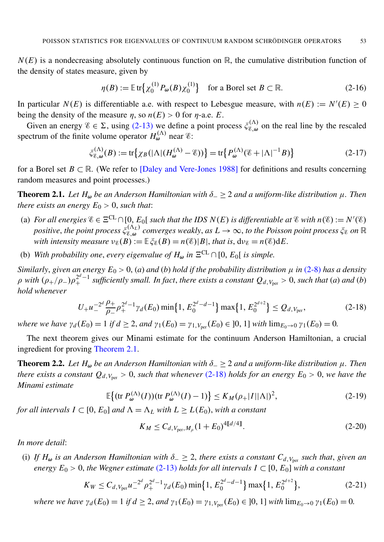$N(E)$  is a nondecreasing absolutely continuous function on  $\mathbb{R}$ , the cumulative distribution function of the density of states measure, given by

<span id="page-5-7"></span><span id="page-5-5"></span>
$$
\eta(B) := \mathbb{E}\operatorname{tr}\left\{\chi_0^{(1)} P_{\omega}(B) \chi_0^{(1)}\right\} \quad \text{for a Borel set } B \subset \mathbb{R}.\tag{2-16}
$$

In particular  $N(E)$  is differentiable a.e. with respect to Lebesgue measure, with  $n(E) := N'(E) \ge 0$ being the density of the measure  $\eta$ , so  $n(E) > 0$  for  $\eta$ -a.e. *E*.

Given an energy  $\mathscr{E} \in \Sigma$ , using [\(2-13\)](#page-4-0) we define a point process  $\zeta_{\mathscr{E},\omega}^{(\Lambda)}$  $\mathcal{E}^{(\Lambda)}_{\epsilon,\omega}$  on the real line by the rescaled spectrum of the finite volume operator  $H_{\omega}^{(\Lambda)}$  near  $\epsilon$ :

$$
\xi_{\mathcal{E},\omega}^{(\Lambda)}(B) := \text{tr}\big\{\chi_B(|\Lambda|(H_{\omega}^{(\Lambda)} - \mathcal{E}))\big\} = \text{tr}\big\{P_{\omega}^{(\Lambda)}(\mathcal{E} + |\Lambda|^{-1}B)\big\} \tag{2-17}
$$

for a Borel set  $B \subset \mathbb{R}$ . (We refer to [\[Daley and Vere-Jones 1988\]](#page-30-10) for definitions and results concerning random measures and point processes.)

<span id="page-5-0"></span>**Theorem 2.1.** *Let*  $H_ω$  *be an Anderson Hamiltonian with*  $δ_− ≥ 2$  *and a uniform-like distribution*  $μ$ *. Then there exists an energy*  $E_0 > 0$ *, such that:* 

- (a) *For all energies*  $\mathscr{E} \in \Xi^{\text{CL}} \cap [0, E_0[$  *such that the IDS N*(*E*) *is differentiable at*  $\mathscr{E}$  *with*  $n(\mathscr{E}) := N'(\mathscr{E})$ *positive, the point process*  $\xi_{\mathscr{C},\omega}^{(\Lambda_L)}$  $E_{\epsilon,\omega}^{(\Lambda_L)}$  converges weakly, as  $L\to\infty$ , to the Poisson point process  $\xi_\epsilon$  on  $\mathbb R$ *with intensity measure*  $v_{\mathscr{E}}(B) := \mathbb{E}\xi_{\mathscr{E}}(B) = n(\mathscr{E})|B|$ , *that is*,  $dv_{\mathscr{E}} = n(\mathscr{E})dE$ .
- (b) *With probability one, every eigenvalue of*  $H_{\omega}$  *in*  $\Xi^{\text{CL}} \cap [0, E_0]$  *is simple.*

*Similarly, given an energy*  $E_0 > 0$ , (*a*) *and* (*b*) *hold if the probability distribution*  $\mu$  *in* [\(2-8\)](#page-3-2) *has a density*  $\rho$  with  $(\rho_+/\rho_-)\rho_+^{2^d-1}$  sufficiently small. In fact, there exists a constant  $Q_d$ ,  $v_{per} > 0$ , such that (a) and (b) *hold whenever*

<span id="page-5-1"></span>
$$
U_{+}u_{-}^{-2d}\frac{\rho_{+}}{\rho_{-}}\rho_{+}^{2d-1}\gamma_{d}(E_{0})\min\{1,E_{0}^{2d-d-1}\}\max\{1,E_{0}^{2d+2}\}\leq Q_{d,V_{\text{per}}},\tag{2-18}
$$

*where we have*  $\gamma_d(E_0) = 1$  *if*  $d \geq 2$ *, and*  $\gamma_1(E_0) = \gamma_{1, V_{\text{per}}}(E_0) \in ]0, 1]$  *with*  $\lim_{E_0 \to 0} \gamma_1(E_0) = 0$ .

The next theorem gives our Minami estimate for the continuum Anderson Hamiltonian, a crucial ingredient for proving [Theorem 2.1.](#page-5-0)

<span id="page-5-6"></span>**Theorem 2.2.** Let  $H_{\omega}$  be an Anderson Hamiltonian with  $\delta_{-} \geq 2$  and a uniform-like distribution  $\mu$ . Then *there exists a constant*  $Q_{d,V_{\text{per}}} > 0$ , *such that whenever* [\(2-18\)](#page-5-1) *holds for an energy*  $E_0 > 0$ , *we have the Minami estimate*

<span id="page-5-2"></span>
$$
\mathbb{E}\big\{(\text{tr }P_{\omega}^{(\Lambda)}(I))(\text{tr }P_{\omega}^{(\Lambda)}(I)-1)\big\} \le K_M(\rho_+|I||\Lambda|)^2,\tag{2-19}
$$

*for all intervals*  $I \subset [0, E_0]$  *<i>and*  $\Lambda = \Lambda_L$  *with*  $L \ge L(E_0)$ *, with a constant* 

<span id="page-5-4"></span><span id="page-5-3"></span>
$$
K_M \le C_{d, V_{\text{per}}, M_\rho} (1 + E_0)^{4[[d/4]]}.
$$
\n(2-20)

*In more detail*:

(i) If  $H_{\omega}$  is an Anderson Hamiltonian with  $\delta_{-} \geq 2$ , there exists a constant  $C_{d, V_{\text{per}}}$  such that, given an *energy*  $E_0 > 0$ , the Wegner estimate [\(2-13\)](#page-4-0) holds for all intervals  $I \subset [0, E_0]$  with a constant

$$
K_W \leq C_{d, V_{\text{per}}} u_{-}^{-2d} \rho_+^{2d-1} \gamma_d(E_0) \min\{1, E_0^{2d-d-1}\} \max\{1, E_0^{2d+2}\},\tag{2-21}
$$

*where we have*  $\gamma_d(E_0) = 1$  *if*  $d \geq 2$ *, and*  $\gamma_1(E_0) = \gamma_{1, V_{\text{per}}}(E_0) \in ]0, 1]$  *with*  $\lim_{E_0 \to 0} \gamma_1(E_0) = 0$ .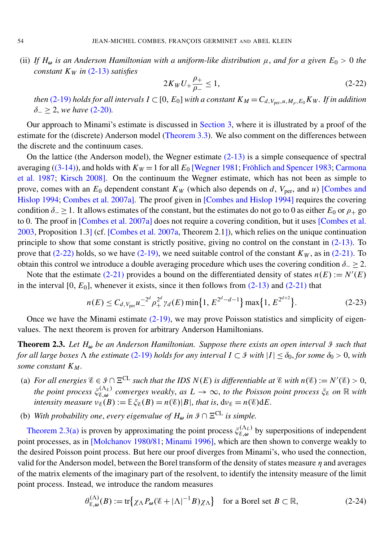(ii) If  $H_{\omega}$  *is an Anderson Hamiltonian with a uniform-like distribution*  $\mu$ *, and for a given*  $E_0 > 0$  *the constant K<sup>W</sup> in* [\(2-13\)](#page-4-0) *satisfies*

<span id="page-6-0"></span>
$$
2K_W U_+ \frac{\rho_+}{\rho_-} \le 1,\tag{2-22}
$$

*then* [\(2-19\)](#page-5-2) *holds for all intervals*  $I \subset [0, E_0]$  *with a constant*  $K_M = C_{d, V_{\text{ner}}, u, M_o, E_0} K_W$ . If in addition δ<sup>−</sup> ≥ 2, *we have* [\(2-20\)](#page-5-3)*.*

Our approach to Minami's estimate is discussed in [Section 3,](#page-7-0) where it is illustrated by a proof of the estimate for the (discrete) Anderson model [\(Theorem 3.3\)](#page-9-0). We also comment on the differences between the discrete and the continuum cases.

On the lattice (the Anderson model), the Wegner estimate  $(2-13)$  is a simple consequence of spectral averaging [\(\(3-14\)\)](#page-9-1), and holds with  $K_W = 1$  for all  $E_0$  [\[Wegner 1981;](#page-32-8) Fröhlich and Spencer 1983; [Carmona](#page-30-11) [et al. 1987;](#page-30-11) [Kirsch 2008\]](#page-31-16). On the continuum the Wegner estimate, which has not been as simple to prove, comes with an  $E_0$  dependent constant  $K_W$  (which also depends on *d*,  $V_{\text{per}}$ , and *u*) [\[Combes and](#page-30-5) [Hislop 1994;](#page-30-5) [Combes et al. 2007a\]](#page-30-9). The proof given in [\[Combes and Hislop 1994\]](#page-30-5) requires the covering condition  $\delta_-\geq 1$ . It allows estimates of the constant, but the estimates do not go to 0 as either  $E_0$  or  $\rho_+$  go to 0. The proof in [\[Combes et al. 2007a\]](#page-30-9) does not require a covering condition, but it uses [\[Combes et al.](#page-30-12) [2003,](#page-30-12) Proposition 1.3] (cf. [\[Combes et al. 2007a,](#page-30-9) Theorem 2.1]), which relies on the unique continuation principle to show that some constant is strictly positive, giving no control on the constant in  $(2-13)$ . To prove that  $(2-22)$  holds, so we have  $(2-19)$ , we need suitable control of the constant  $K_W$ , as in  $(2-21)$ . To obtain this control we introduce a double averaging procedure which uses the covering condition  $\delta_-\geq 2$ .

Note that the estimate [\(2-21\)](#page-5-4) provides a bound on the differentiated density of states  $n(E) := N'(E)$ in the interval  $[0, E_0]$ , whenever it exists, since it then follows from  $(2-13)$  and  $(2-21)$  that

$$
n(E) \le C_{d,V_{\text{per}}} u_{-}^{-2d} \rho_+^{2d} \gamma_d(E) \min\{1, E^{2^d-d-1}\} \max\{1, E^{2^{d+2}}\}. \tag{2-23}
$$

Once we have the Minami estimate  $(2-19)$ , we may prove Poisson statistics and simplicity of eigenvalues. The next theorem is proven for arbitrary Anderson Hamiltonians.

<span id="page-6-1"></span>Theorem 2.3. Let H<sub> $\omega$ </sub> be an Anderson Hamiltonian. Suppose there exists an open interval  $\Im$  such that *for all large boxes*  $\Lambda$  *the estimate* [\(2-19\)](#page-5-2) *holds for any interval*  $I \subset \mathcal{F}$  *with*  $|I| \leq \delta_0$ *, for some*  $\delta_0 > 0$ *, with some constant K <sup>M</sup> .*

- <span id="page-6-2"></span>(a) For all energies  $\mathscr{E} \in \mathscr{I} \cap \Xi^{CL}$  such that the IDS  $N(E)$  is differentiable at  $\mathscr{E}$  with  $n(\mathscr{E}) := N'(\mathscr{E}) > 0$ , *the point process*  $\xi_{\mathscr{C}}^{(\Lambda_L)}$  $E_{\epsilon,\omega}^{(A_L)}$  converges weakly, as  $L\to\infty$ , to the Poisson point process  $\xi_{\epsilon}$  on R with *intensity measure*  $\nu_{\mathscr{E}}(B) := \mathbb{E}\xi_{\mathscr{E}}(B) = n(\mathscr{E})|B|$ , *that is*,  $d\nu_{\mathscr{E}} = n(\mathscr{E})dE$ .
- <span id="page-6-4"></span>(b) *With probability one, every eigenvalue of*  $H_{\omega}$  *in*  $\mathcal{F} \cap \Xi^{CL}$  *is simple.*

[Theorem 2.3](#page-6-1)[\(a\)](#page-6-2) is proven by approximating the point process  $\zeta_{\mathscr{C}, \omega}^{(\Lambda_L)}$  $\mathcal{E}_{\infty,\omega}^{(NL)}$  by superpositions of independent point processes, as in [\[Molchanov 1980/81;](#page-32-3) [Minami 1996\]](#page-32-5), which are then shown to converge weakly to the desired Poisson point process. But here our proof diverges from Minami's, who used the connection, valid for the Anderson model, between the Borel transform of the density of states measure  $\eta$  and averages of the matrix elements of the imaginary part of the resolvent, to identify the intensity measure of the limit point process. Instead, we introduce the random measures

<span id="page-6-3"></span>
$$
\theta_{\mathcal{E},\omega}^{(\Lambda)}(B) := \text{tr}\left\{ \chi_{\Lambda} P_{\omega}(\mathcal{E} + |\Lambda|^{-1}B)\chi_{\Lambda} \right\} \quad \text{for a Borel set } B \subset \mathbb{R},\tag{2-24}
$$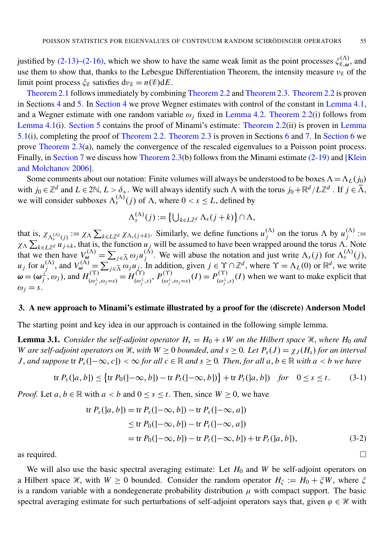justified by [\(2-13\)–](#page-4-0)[\(2-16\),](#page-5-5) which we show to have the same weak limit as the point processes  $\zeta_{\mathscr{C},\omega}^{(\Lambda)}$  $\mathcal{E}_{\infty}^{(\Lambda)}$ , and use them to show that, thanks to the Lebesgue Differentiation Theorem, the intensity measure  $v_{\mathscr{C}}$  of the limit point process  $\xi_{\mathscr{E}}$  satisfies  $d\nu_{\mathscr{E}} = n(\mathscr{E})dE$ .

[Theorem 2.1](#page-5-0) follows immediately by combining [Theorem 2.2](#page-5-6) and [Theorem 2.3.](#page-6-1) [Theorem 2.2](#page-5-6) is proven in Sections [4](#page-11-0) and [5.](#page-17-0) In [Section 4](#page-11-0) we prove Wegner estimates with control of the constant in [Lemma 4.1,](#page-11-1) and a Wegner estimate with one random variable  $\omega_i$  fixed in [Lemma 4.2.](#page-16-0) [Theorem 2.2\(](#page-5-6)i) follows from [Lemma 4.1\(](#page-11-1)i). [Section 5](#page-17-0) contains the proof of Minami's estimate: [Theorem 2.2\(](#page-5-6)ii) is proven in [Lemma](#page-17-1) [5.1\(](#page-17-1)i), completing the proof of [Theorem 2.2.](#page-5-6) [Theorem 2.3](#page-6-1) is proven in Sections [6](#page-19-0) and [7.](#page-26-0) In [Section 6](#page-19-0) we prove [Theorem 2.3\(](#page-6-1)a), namely the convergence of the rescaled eigenvalues to a Poisson point process. Finally, in [Section 7](#page-26-0) we discuss how [Theorem 2.3\(](#page-6-1)b) follows from the Minami estimate [\(2-19\)](#page-5-2) and [\[Klein](#page-31-5)] [and Molchanov 2006\]](#page-31-5).

Some comments about our notation: Finite volumes will always be understood to be boxes  $\Lambda = \Lambda_L(j_0)$ with  $j_0 \in \mathbb{Z}^d$  and  $L \in 2\mathbb{N}$ ,  $L > \delta_+$ . We will always identify such  $\Lambda$  with the torus  $j_0 + \mathbb{R}^d / L\mathbb{Z}^d$ . If  $j \in \widetilde{\Lambda}$ , we will consider subboxes  $\Lambda_s^{(\Lambda)}(j)$  of  $\Lambda$ , where  $0 < s \leq L$ , defined by

<span id="page-7-2"></span>
$$
\Lambda_s^{(\Lambda)}(j) := \left\{ \bigcup_{k \in L\mathbb{Z}^d} \Lambda_s(j+k) \right\} \cap \Lambda,
$$

that is,  $\chi_{\Lambda_s^{(\Lambda)}(j)} := \chi_{\Lambda} \sum_{k \in L\mathbb{Z}^d} \chi_{\Lambda_s(j+k)}$ . Similarly, we define functions  $u_j^{(\Lambda)}$  $\binom{(\Lambda)}{j}$  on the torus  $\Lambda$  by  $u_j^{(\Lambda)}$  $j^{(\Lambda)} :=$  $\chi_{\Lambda} \sum_{k \in L\mathbb{Z}^d} u_{j+k}$ , that is, the function  $u_j$  will be assumed to have been wrapped around the torus  $\Lambda$ . Note that we then have  $V_{\omega}^{(\Lambda)} = \sum_{j \in \tilde{\Lambda}} \omega_j u_j^{(\Lambda)}$  $\chi_j^{(\Lambda)}$ . We will abuse the notation and just write  $\Lambda_s(j)$  for  $\Lambda_s^{(\Lambda)}(j)$ ,  $u_j$  for  $u_j^{(\Lambda)}$  $y_j^{(\Lambda)}$ , and  $V_{\omega}^{(\Lambda)} = \sum_{j \in \Lambda} g_j u_j$ . In addition, given  $j \in \Upsilon \cap \mathbb{Z}^d$ , where  $\Upsilon = \Lambda_L(0)$  or  $\mathbb{R}^d$ , we write  $\omega = (\omega_i^{\perp})$  $\int_j^{\prime}$ ,  $\omega_j$ ), and  $H_{(\omega^{\perp})}^{(\Upsilon)}$  $\overline{\mu_{(\omega_j^{\perp}, \omega_j=s)}^{\text{(Y)}}} = H_{(\omega_j^{\perp})}^{\text{(Y)}}$  $\alpha_{(\omega_j^\perp,s)}^\text{(Y)},\ P_{(\omega_j^\perp)}^\text{(Y)}$  $p_{(\omega_j^{\perp}, \omega_j=s)}^{(\Upsilon)}(I) = P_{(\omega_j^{\perp})}^{(\Upsilon)}$  $\binom{N+1}{\omega_j^{\perp},s}(I)$  when we want to make explicit that  $\omega_j = s$ .

#### <span id="page-7-0"></span>3. A new approach to Minami's estimate illustrated by a proof for the (discrete) Anderson Model

<span id="page-7-1"></span>The starting point and key idea in our approach is contained in the following simple lemma.

**Lemma 3.1.** *Consider the self-adjoint operator*  $H_s = H_0 + sW$  *on the Hilbert space*  $\mathcal{H}$ *, where*  $H_0$  *and W* are self-adjoint operators on  $\mathcal{H}$ , with  $W \geq 0$  bounded, and  $s \geq 0$ . Let  $P_s(J) = \chi_J(H_s)$  for an interval *J*, and suppose  $\text{tr } P_s( ] - \infty, c ]$ ) <  $\infty$  *for all c* ∈ R *and s* > 0*. Then, for all a, b* ∈ R *with a* < *b* we have

$$
\text{tr } P_s([a, b]) \leq \{ \text{tr } P_0([-\infty, b]) - \text{tr } P_t([-\infty, b]) \} + \text{tr } P_t([a, b]) \quad \text{for} \quad 0 \leq s \leq t. \tag{3-1}
$$

*Proof.* Let  $a, b \in \mathbb{R}$  with  $a < b$  and  $0 \le s \le t$ . Then, since  $W \ge 0$ , we have

$$
\operatorname{tr} P_s([a, b]) = \operatorname{tr} P_s([-\infty, b]) - \operatorname{tr} P_s([-\infty, a])
$$
  
\n
$$
\leq \operatorname{tr} P_0([-\infty, b]) - \operatorname{tr} P_t([-\infty, a])
$$
  
\n
$$
= \operatorname{tr} P_0([-\infty, b]) - \operatorname{tr} P_t([-\infty, b]) + \operatorname{tr} P_t([a, b]),
$$
\n(3-2)

as required.  $\Box$ 

We will also use the basic spectral averaging estimate: Let  $H_0$  and W be self-adjoint operators on a Hilbert space  $\mathcal{H}$ , with  $W \ge 0$  bounded. Consider the random operator  $H_{\xi} := H_0 + \xi W$ , where  $\xi$ is a random variable with a nondegenerate probability distribution  $\mu$  with compact support. The basic spectral averaging estimate for such perturbations of self-adjoint operators says that, given  $\varphi \in \mathcal{H}$  with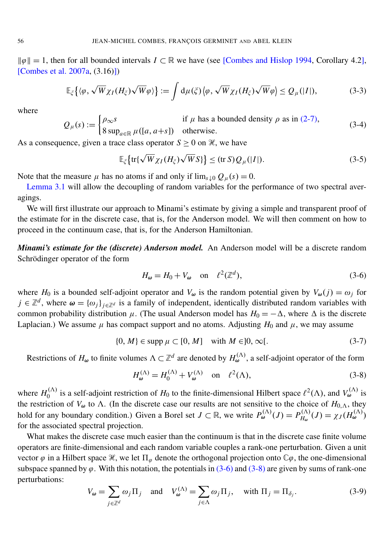kϕk = 1, then for all bounded intervals *I* ⊂ R we have (see [\[Combes and Hislop 1994,](#page-30-5) Corollary 4.2], [\[Combes et al. 2007a,](#page-30-9) (3.16)])

<span id="page-8-2"></span>
$$
\mathbb{E}_{\xi}\big\{\langle\varphi,\sqrt{W}\chi_{I}(H_{\xi})\sqrt{W}\varphi\rangle\big\}:=\int d\mu(\xi)\big\langle\varphi,\sqrt{W}\chi_{I}(H_{\xi})\sqrt{W}\varphi\big\rangle\leq Q_{\mu}(|I|),
$$
\n(3-3)

where

$$
Q_{\mu}(s) := \begin{cases} \rho_{\infty}s & \text{if } \mu \text{ has a bounded density } \rho \text{ as in (2-7)}, \\ 8 \sup_{a \in \mathbb{R}} \mu([a, a+s]) & \text{otherwise.} \end{cases}
$$
(3-4)

As a consequence, given a trace class operator  $S > 0$  on  $\mathcal{H}$ , we have

<span id="page-8-4"></span>
$$
\mathbb{E}_{\xi}\left\{\operatorname{tr}\left\{\sqrt{W}\chi_{I}(H_{\xi})\sqrt{W}S\right\}\right\} \leq (\operatorname{tr} S)Q_{\mu}(|I|). \tag{3-5}
$$

Note that the measure  $\mu$  has no atoms if and only if  $\lim_{s\downarrow 0} Q_{\mu}(s) = 0$ .

[Lemma 3.1](#page-7-1) will allow the decoupling of random variables for the performance of two spectral averagings.

We will first illustrate our approach to Minami's estimate by giving a simple and transparent proof of the estimate for in the discrete case, that is, for the Anderson model. We will then comment on how to proceed in the continuum case, that is, for the Anderson Hamiltonian.

*Minami's estimate for the (discrete) Anderson model.* An Anderson model will be a discrete random Schrödinger operator of the form

<span id="page-8-3"></span><span id="page-8-0"></span>
$$
H_{\omega} = H_0 + V_{\omega} \quad \text{on} \quad \ell^2(\mathbb{Z}^d), \tag{3-6}
$$

where *H*<sub>0</sub> is a bounded self-adjoint operator and  $V_{\omega}$  is the random potential given by  $V_{\omega}(j) = \omega_j$  for  $j \in \mathbb{Z}^d$ , where  $\omega = \{\omega_j\}_{j \in \mathbb{Z}^d}$  is a family of independent, identically distributed random variables with common probability distribution  $\mu$ . (The usual Anderson model has  $H_0 = -\Delta$ , where  $\Delta$  is the discrete Laplacian.) We assume  $\mu$  has compact support and no atoms. Adjusting  $H_0$  and  $\mu$ , we may assume

$$
\{0, M\} \in \text{supp } \mu \subset [0, M] \quad \text{with } M \in ]0, \infty[.
$$
 (3-7)

Restrictions of  $H_{\omega}$  to finite volumes  $\Lambda \subset \mathbb{Z}^d$  are denoted by  $H_{\omega}^{(\Lambda)}$ , a self-adjoint operator of the form

<span id="page-8-1"></span>
$$
H_{\omega}^{(\Lambda)} = H_0^{(\Lambda)} + V_{\omega}^{(\Lambda)} \quad \text{on} \quad \ell^2(\Lambda), \tag{3-8}
$$

where  $H_0^{(\Lambda)}$  $v_0^{(\Lambda)}$  is a self-adjoint restriction of  $H_0$  to the finite-dimensional Hilbert space  $\ell^2(\Lambda)$ , and  $V_\omega^{(\Lambda)}$  is the restriction of  $V_{\omega}$  to  $\Lambda$ . (In the discrete case our results are not sensitive to the choice of  $H_{0,\Lambda}$ , they hold for any boundary condition.) Given a Borel set  $J \subset \mathbb{R}$ , we write  $P_{\omega}^{(\Lambda)}(J) = P_{H_{\omega}}^{(\Lambda)}$  $H_{\omega}^{(\Lambda)}(J) = \chi_J(H_{\omega}^{(\Lambda)})$ for the associated spectral projection.

What makes the discrete case much easier than the continuum is that in the discrete case finite volume operators are finite-dimensional and each random variable couples a rank-one perturbation. Given a unit vector  $\varphi$  in a Hilbert space  $\mathcal{H}$ , we let  $\Pi_{\varphi}$  denote the orthogonal projection onto  $\mathbb{C}\varphi$ , the one-dimensional subspace spanned by  $\varphi$ . With this notation, the potentials in  $(3-6)$  and  $(3-8)$  are given by sums of rank-one perturbations:

$$
V_{\omega} = \sum_{j \in \mathbb{Z}^d} \omega_j \Pi_j \quad \text{and} \quad V_{\omega}^{(\Lambda)} = \sum_{j \in \Lambda} \omega_j \Pi_j, \quad \text{with } \Pi_j = \Pi_{\delta_j}.
$$
 (3-9)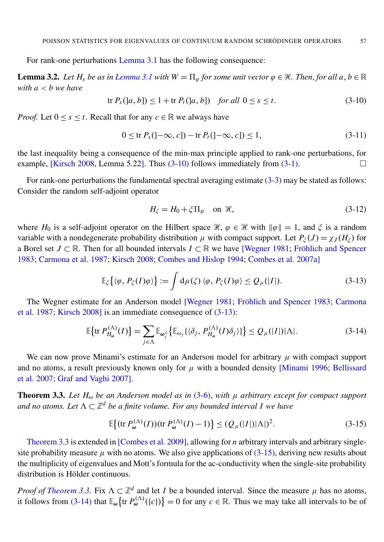For rank-one perturbations [Lemma 3.1](#page-7-1) has the following consequence:

<span id="page-9-5"></span>**Lemma 3.2.** *Let*  $H_s$  *be as in [Lemma 3.1](#page-7-1) with*  $W = \Pi_{\varphi}$  *for some unit vector*  $\varphi \in \mathcal{H}$ *. Then, for all a, b*  $\in \mathbb{R}$ *with a* < *b we have*

<span id="page-9-2"></span>
$$
\text{tr } P_s([a, b]) \le 1 + \text{tr } P_t([a, b]) \quad \text{for all } 0 \le s \le t. \tag{3-10}
$$

*Proof.* Let  $0 \le s \le t$ . Recall that for any  $c \in \mathbb{R}$  we always have

<span id="page-9-6"></span>
$$
0 \le \text{tr } P_s( ]-\infty, c] ) - \text{tr } P_t( ]-\infty, c] ) \le 1,
$$
\n(3-11)

the last inequality being a consequence of the min-max principle applied to rank-one perturbations, for example, [\[Kirsch 2008,](#page-31-16) Lemma 5.22]. Thus  $(3-10)$  follows immediately from  $(3-1)$ .

For rank-one perturbations the fundamental spectral averaging estimate  $(3-3)$  may be stated as follows: Consider the random self-adjoint operator

<span id="page-9-3"></span><span id="page-9-1"></span>
$$
H_{\xi} = H_0 + \xi \Pi_{\varphi} \quad \text{on } \mathcal{H},\tag{3-12}
$$

where *H*<sub>0</sub> is a self-adjoint operator on the Hilbert space  $\mathcal{H}, \varphi \in \mathcal{H}$  with  $\|\varphi\| = 1$ , and  $\xi$  is a random variable with a nondegenerate probability distribution  $\mu$  with compact support. Let  $P_{\xi}(J) = \chi_J(H_{\xi})$  for a Borel set  $J \subset \mathbb{R}$ . Then for all bounded intervals  $I \subset \mathbb{R}$  we have [\[Wegner 1981;](#page-32-8) Fröhlich and Spencer [1983;](#page-31-15) [Carmona et al. 1987;](#page-30-11) [Kirsch 2008;](#page-31-16) [Combes and Hislop 1994;](#page-30-5) [Combes et al. 2007a\]](#page-30-9)

$$
\mathbb{E}_{\xi}\big\{\langle\varphi,\,P_{\xi}(I)\varphi\rangle\big\}:=\int\mathrm{d}\mu(\xi)\,\langle\varphi,\,P_{\xi}(I)\varphi\rangle\leq Q_{\mu}(|I|). \tag{3-13}
$$

The Wegner estimate for an Anderson model [\[Wegner 1981;](#page-32-8) Fröhlich and Spencer 1983; [Carmona](#page-30-11) [et al. 1987;](#page-30-11) [Kirsch 2008\]](#page-31-16) is an immediate consequence of [\(3-13\):](#page-9-3)

$$
\mathbb{E}\left\{\text{tr}\,P_{H_{\omega}}^{(\Lambda)}(I)\right\} = \sum_{j\in\Lambda}\mathbb{E}_{\omega_j} \left\{\mathbb{E}_{\omega_j}\left\{\langle\delta_j, P_{H_{\omega}}^{(\Lambda)}(I)\delta_j\rangle\right\}\right\} \le Q_{\mu}(|I|)|\Lambda|.
$$
 (3-14)

We can now prove Minami's estimate for an Anderson model for arbitrary  $\mu$  with compact support and no atoms, a result previously known only for  $\mu$  with a bounded density [\[Minami 1996;](#page-32-5) [Bellissard](#page-30-4) [et al. 2007;](#page-30-4) [Graf and Vaghi 2007\]](#page-31-4).

<span id="page-9-0"></span>**Theorem 3.3.** Let  $H_0$  be an Anderson model as in [\(3-6\),](#page-8-0) with  $\mu$  arbitrary except for compact support and no atoms. Let  $\Lambda \subset \mathbb{Z}^d$  be a finite volume. For any bounded interval I we have

<span id="page-9-4"></span>
$$
\mathbb{E}\big\{(\text{tr }P_{\omega}^{(\Lambda)}(I))(\text{tr }P_{\omega}^{(\Lambda)}(I)-1)\big\} \leq (Q_{\mu}(|I|)|\Lambda|)^{2}.
$$
 (3-15)

[Theorem 3.3](#page-9-0) is extended in [\[Combes et al. 2009\]](#page-30-13), allowing for *n* arbitrary intervals and arbitrary singlesite probability measure  $\mu$  with no atoms. We also give applications of [\(3-15\),](#page-9-4) deriving new results about the multiplicity of eigenvalues and Mott's formula for the ac-conductivity when the single-site probability distribution is Hölder continuous.

*Proof of [Theorem 3.3.](#page-9-0)* Fix  $\Lambda \subset \mathbb{Z}^d$  and let *I* be a bounded interval. Since the measure  $\mu$  has no atoms, it follows from [\(3-14\)](#page-9-1) that  $\mathbb{E}_{\omega}\left\{\text{tr } P_{\omega}^{(\Lambda)}(\lbrace c \rbrace) \right\} = 0$  for any  $c \in \mathbb{R}$ . Thus we may take all intervals to be of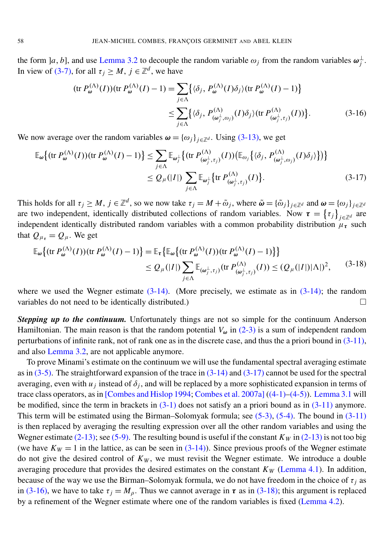the form  $[a, b]$ , and use [Lemma 3.2](#page-9-5) to decouple the random variable  $\omega_j$  from the random variables  $\omega_j^{\perp}$ *j* . In view of [\(3-7\),](#page-8-3) for all  $\tau_j \geq M$ ,  $j \in \mathbb{Z}^d$ , we have

<span id="page-10-1"></span><span id="page-10-0"></span>
$$
(\text{tr } P_{\omega}^{(\Lambda)}(I))(\text{tr } P_{\omega}^{(\Lambda)}(I) - 1) = \sum_{j \in \Lambda} \{ \langle \delta_j, P_{\omega}^{(\Lambda)}(I) \delta_j \rangle (\text{tr } P_{\omega}^{(\Lambda)}(I) - 1) \}
$$
  

$$
\leq \sum_{j \in \Lambda} \{ \langle \delta_j, P_{(\omega_j^{\perp}, \omega_j)}^{(\Lambda)}(I) \delta_j \rangle (\text{tr } P_{(\omega_j^{\perp}, \tau_j)}^{(\Lambda)}(I)) \}.
$$
 (3-16)

We now average over the random variables  $\boldsymbol{\omega} = {\{\omega_j\}}_{j \in \mathbb{Z}^d}$ . Using [\(3-13\),](#page-9-3) we get

$$
\mathbb{E}_{\omega}\left\{(\operatorname{tr} P_{\omega}^{(\Lambda)}(I))(\operatorname{tr} P_{\omega}^{(\Lambda)}(I) - 1)\right\} \leq \sum_{j \in \Lambda} \mathbb{E}_{\omega_{j}^{\perp}}\left\{(\operatorname{tr} P_{(\omega_{j}^{\perp}, \tau_{j})}^{(\Lambda)}(I))\left(\mathbb{E}_{\omega_{j}}\left\{\langle\delta_{j}, P_{(\omega_{j}^{\perp}, \omega_{j})}^{(\Lambda)}(I)\delta_{j}\rangle\right\}\right)\right\}
$$
\n
$$
\leq Q_{\mu}(|I|) \sum_{j \in \Lambda} \mathbb{E}_{\omega_{j}^{\perp}}\left\{\operatorname{tr} P_{(\omega_{j}^{\perp}, \tau_{j})}^{(\Lambda)}(I)\right\}.
$$
\n(3-17)

This holds for all  $\tau_j \geq M$ ,  $j \in \mathbb{Z}^d$ , so we now take  $\tau_j = M + \tilde{\omega}_j$ , where  $\tilde{\omega} = {\{\tilde{\omega}_j\}}_{j \in \mathbb{Z}^d}$  and  $\omega = {\{\omega_j\}}_{j \in \mathbb{Z}^d}$ are two independent, identically distributed collections of random variables. Now  $\tau = \{\tau_j\}_{j \in \mathbb{Z}^d}$  are independent identically distributed random variables with a common probability distribution  $\mu_{\tau}$  such that  $Q_{\mu_{\tau}} = Q_{\mu}$ . We get

<span id="page-10-2"></span>
$$
\mathbb{E}_{\omega}\left\{(\operatorname{tr} P_{\omega}^{(\Lambda)}(I))(\operatorname{tr} P_{\omega}^{(\Lambda)}(I) - 1)\right\} = \mathbb{E}_{\tau}\left\{\mathbb{E}_{\omega}\left\{(\operatorname{tr} P_{\omega}^{(\Lambda)}(I))(\operatorname{tr} P_{\omega}^{(\Lambda)}(I) - 1)\right\}\right\}
$$
  
 
$$
\leq Q_{\mu}(|I|) \sum_{j \in \Lambda} \mathbb{E}_{(\omega_{j}^{\perp}, \tau_{j})}(\operatorname{tr} P_{(\omega_{j}^{\perp}, \tau_{j})}^{(\Lambda)}(I)) \leq (Q_{\mu}(|I|)|\Lambda|)^{2}, \qquad (3-18)
$$

where we used the Wegner estimate  $(3-14)$ . (More precisely, we estimate as in  $(3-14)$ ; the random variables do not need to be identically distributed.)

**Stepping up to the continuum.** Unfortunately things are not so simple for the continuum Anderson Hamiltonian. The main reason is that the random potential  $V_{\omega}$  in [\(2-3\)](#page-3-0) is a sum of independent random perturbations of infinite rank, not of rank one as in the discrete case, and thus the a priori bound in [\(3-11\),](#page-9-6) and also [Lemma 3.2,](#page-9-5) are not applicable anymore.

To prove Minami's estimate on the continuum we will use the fundamental spectral averaging estimate as in [\(3-5\).](#page-8-4) The straightforward expansion of the trace in [\(3-14\)](#page-9-1) and [\(3-17\)](#page-10-0) cannot be used for the spectral averaging, even with  $u_j$  instead of  $\delta_j$ , and will be replaced by a more sophisticated expansion in terms of trace class operators, as in [\[Combes and Hislop 1994;](#page-30-5) [Combes et al. 2007a\]](#page-30-9) [\(\(4-1\)–](#page-11-2)[\(4-5\)\)](#page-11-3). [Lemma 3.1](#page-7-1) will be modified, since the term in brackets in  $(3-1)$  does not satisfy an a priori bound as in  $(3-11)$  anymore. This term will be estimated using the Birman–Solomyak formula; see [\(5-3\),](#page-18-0) [\(5-4\).](#page-18-1) The bound in [\(3-11\)](#page-9-6) is then replaced by averaging the resulting expression over all the other random variables and using the Wegner estimate  $(2-13)$ ; see  $(5-9)$ . The resulting bound is useful if the constant  $K_W$  in  $(2-13)$  is not too big (we have  $K_W = 1$  in the lattice, as can be seen in  $(3-14)$ ). Since previous proofs of the Wegner estimate do not give the desired control of  $K_W$ , we must revisit the Wegner estimate. We introduce a double averaging procedure that provides the desired estimates on the constant  $K_W$  [\(Lemma 4.1\)](#page-11-1). In addition, because of the way we use the Birman–Solomyak formula, we do not have freedom in the choice of  $\tau_i$  as in [\(3-16\),](#page-10-1) we have to take  $\tau_j = M_\rho$ . Thus we cannot average in  $\tau$  as in [\(3-18\);](#page-10-2) this argument is replaced by a refinement of the Wegner estimate where one of the random variables is fixed [\(Lemma 4.2\)](#page-16-0).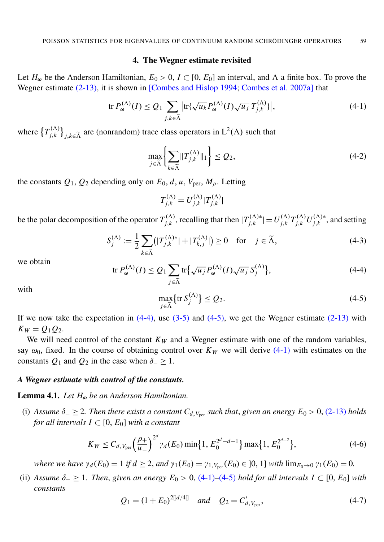#### 4. The Wegner estimate revisited

<span id="page-11-0"></span>Let  $H_{\omega}$  be the Anderson Hamiltonian,  $E_0 > 0$ ,  $I \subset [0, E_0]$  an interval, and  $\Lambda$  a finite box. To prove the Wegner estimate [\(2-13\),](#page-4-0) it is shown in [\[Combes and Hislop 1994;](#page-30-5) [Combes et al. 2007a\]](#page-30-9) that

$$
\operatorname{tr} P_{\omega}^{(\Lambda)}(I) \le Q_1 \sum_{j,k \in \widetilde{\Lambda}} \left| \operatorname{tr} \{ \sqrt{u_k} P_{\omega}^{(\Lambda)}(I) \sqrt{u_j} T_{j,k}^{(\Lambda)} \} \right|, \tag{4-1}
$$

where  $\left\{T_{i,k}^{(\Lambda)}\right\}$  $\binom{(\Lambda)}{j,k}$ <sub>*j*, $k \in \tilde{\Lambda}$ </sub> are (nonrandom) trace class operators in L<sup>2</sup>( $\Lambda$ ) such that

<span id="page-11-7"></span><span id="page-11-2"></span>
$$
\max_{j \in \widetilde{\Lambda}} \left\{ \sum_{k \in \widetilde{\Lambda}} \|T_{j,k}^{(\Lambda)}\|_1 \right\} \le Q_2,\tag{4-2}
$$

the constants  $Q_1$ ,  $Q_2$  depending only on  $E_0$ , *d*, *u*,  $V_{\text{per}}$ ,  $M_\rho$ . Letting

$$
T_{j,k}^{(\Lambda)} = U_{j,k}^{(\Lambda)} |T_{j,k}^{(\Lambda)}|
$$

be the polar decomposition of the operator  $T_{i,k}^{(\Lambda)}$  $j,k$ , recalling that then  $|T_{j,k}^{(\Lambda)*}|$  $|U^{(\Lambda)*}_{j,k}| = U^{(\Lambda)}_{j,k}$ *j*,*k T* (3) *<sup>j</sup>*,*<sup>k</sup> U* (3)∗  $j,k^{(\Lambda)*}$ , and setting

$$
S_j^{(\Lambda)} := \frac{1}{2} \sum_{k \in \widetilde{\Lambda}} \left( |T_{j,k}^{(\Lambda)*}| + |T_{k,j}^{(\Lambda)}| \right) \ge 0 \quad \text{for} \quad j \in \widetilde{\Lambda},\tag{4-3}
$$

<span id="page-11-4"></span>we obtain

$$
\operatorname{tr} P_{\omega}^{(\Lambda)}(I) \le Q_1 \sum_{j \in \tilde{\Lambda}} \operatorname{tr} \{ \sqrt{u_j} P_{\omega}^{(\Lambda)}(I) \sqrt{u_j} S_j^{(\Lambda)} \},\tag{4-4}
$$

<span id="page-11-3"></span>with

$$
\max_{j \in \widetilde{\Lambda}} \{ \operatorname{tr} S_j^{(\Lambda)} \} \le Q_2. \tag{4-5}
$$

If we now take the expectation in  $(4-4)$ , use  $(3-5)$  and  $(4-5)$ , we get the Wegner estimate  $(2-13)$  with  $K_W = Q_1 Q_2$ .

We will need control of the constant  $K_W$  and a Wegner estimate with one of the random variables, say  $\omega_0$ , fixed. In the course of obtaining control over  $K_W$  we will derive [\(4-1\)](#page-11-2) with estimates on the constants  $Q_1$  and  $Q_2$  in the case when  $\delta_-\geq 1$ .

#### <span id="page-11-1"></span>*A Wegner estimate with control of the constants.*

Lemma 4.1. *Let H*<sup>ω</sup> *be an Anderson Hamiltonian.*

<span id="page-11-5"></span>(i) Assume  $\delta$  −  $\geq$  2. Then there exists a constant  $C_{d, V_{per}}$  such that, given an energy  $E_0 > 0$ , [\(2-13\)](#page-4-0) holds *for all intervals*  $I \subset [0, E_0]$  *with a constant* 

$$
K_W \leq C_{d,V_{\text{per}}} \left(\frac{\rho_+}{u_-}\right)^{2^d} \gamma_d(E_0) \min\{1, E_0^{2^d - d - 1}\} \max\{1, E_0^{2^{d+2}}\},\tag{4-6}
$$

<span id="page-11-8"></span>*where we have*  $\gamma_d(E_0) = 1$  *if*  $d \geq 2$ *, and*  $\gamma_1(E_0) = \gamma_{1, V_{\text{per}}}(E_0) \in ]0, 1]$  *with*  $\lim_{E_0 \to 0} \gamma_1(E_0) = 0$ .

<span id="page-11-6"></span>(ii) *Assume*  $\delta_− ≥ 1$ *. Then, given an energy*  $E_0 > 0$ , [\(4-1\)](#page-11-2)–[\(4-5\)](#page-11-3) *hold for all intervals*  $I \subset [0, E_0]$  *with constants*

$$
Q_1 = (1 + E_0)^{2[[d/4]]} \quad \text{and} \quad Q_2 = C'_{d, V_{\text{per}}}, \tag{4-7}
$$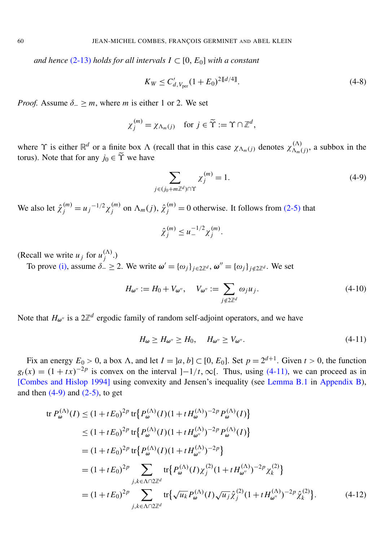*and hence* [\(2-13\)](#page-4-0) *holds for all intervals*  $I \subset [0, E_0]$  *with a constant* 

<span id="page-12-3"></span>
$$
K_W \le C'_{d,V_{\text{per}}} (1 + E_0)^{2 \llbracket d/4 \rrbracket}.
$$
\n(4-8)

*Proof.* Assume  $\delta$  > *m*, where *m* is either 1 or 2. We set

$$
\chi_j^{(m)} = \chi_{\Lambda_m(j)} \quad \text{for } j \in \widetilde{\Upsilon} := \Upsilon \cap \mathbb{Z}^d,
$$

where  $\Upsilon$  is either  $\mathbb{R}^d$  or a finite box  $\Lambda$  (recall that in this case  $\chi_{\Lambda_m(j)}$  denotes  $\chi_{\Lambda_m(k)}^{(\Lambda)}$  $\chi_{m(j)}^{(A)}$ , a subbox in the torus). Note that for any  $j_0 \in \tilde{\Upsilon}$  we have

<span id="page-12-1"></span>
$$
\sum_{j \in (j_0 + m\mathbb{Z}^d) \cap \Upsilon} \chi_j^{(m)} = 1.
$$
\n(4-9)

We also let  $\hat{\chi}_j^{(m)} = u_j^{-1/2} \chi_j^{(m)}$  $j^{(m)}$  on  $\Lambda_m(j)$ ,  $\hat{\chi}_j^{(m)} = 0$  otherwise. It follows from [\(2-5\)](#page-3-3) that

<span id="page-12-0"></span>
$$
\hat{\chi}_j^{(m)} \leq u_-^{-1/2} \chi_j^{(m)}.
$$

(Recall we write  $u_j$  for  $u_j^{(\Lambda)}$ ) *j* .)

To prove [\(i\),](#page-11-5) assume  $\delta_{-} \geq 2$ . We write  $\boldsymbol{\omega}' = {\{\omega_j\}}_{j \in 2\mathbb{Z}^d}$ ,  $\boldsymbol{\omega}'' = {\{\omega_j\}}_{j \notin 2\mathbb{Z}^d}$ . We set

$$
H_{\omega''} := H_0 + V_{\omega''}, \quad V_{\omega''} := \sum_{j \notin 2\mathbb{Z}^d} \omega_j u_j.
$$
\n(4-10)

Note that  $H_{\omega}$ <sup>*n*</sup> is a  $2\mathbb{Z}^d$  ergodic family of random self-adjoint operators, and we have

<span id="page-12-2"></span>
$$
H_{\omega} \ge H_{\omega''} \ge H_0, \quad H_{\omega''} \ge V_{\omega''}.
$$
\n(4-11)

Fix an energy  $E_0 > 0$ , a box  $\Lambda$ , and let  $I = [a, b] \subset [0, E_0]$ . Set  $p = 2^{d+1}$ . Given  $t > 0$ , the function  $g_t(x) = (1 + tx)^{-2p}$  is convex on the interval  $]-1/t, \infty[$ . Thus, using [\(4-11\),](#page-12-0) we can proceed as in [\[Combes and Hislop 1994\]](#page-30-5) using convexity and Jensen's inequality (see [Lemma B.1](#page-29-0) in [Appendix B\)](#page-29-1), and then  $(4-9)$  and  $(2-5)$ , to get

tr 
$$
P_{\omega}^{(\Lambda)}(I) \leq (1 + tE_0)^{2p}
$$
 tr  $\{P_{\omega}^{(\Lambda)}(I)(1 + tH_{\omega}^{(\Lambda)})^{-2p}P_{\omega}^{(\Lambda)}(I)\}$   
\n $\leq (1 + tE_0)^{2p}$  tr  $\{P_{\omega}^{(\Lambda)}(I)(1 + tH_{\omega''}^{(\Lambda)})^{-2p}P_{\omega}^{(\Lambda)}(I)\}$   
\n $= (1 + tE_0)^{2p}$  tr  $\{P_{\omega}^{(\Lambda)}(I)(1 + tH_{\omega''}^{(\Lambda)})^{-2p}\}$   
\n $= (1 + tE_0)^{2p}$   $\sum_{j,k \in \Lambda \cap 2\mathbb{Z}^d}$  tr  $\{P_{\omega}^{(\Lambda)}(I)\chi_j^{(2)}(1 + tH_{\omega''}^{(\Lambda)})^{-2p}\chi_k^{(2)}\}$   
\n $= (1 + tE_0)^{2p}$   $\sum_{j,k \in \Lambda \cap 2\mathbb{Z}^d}$  tr  $\{\sqrt{u_k}P_{\omega}^{(\Lambda)}(I)\sqrt{u_j}\hat{\chi}_j^{(2)}(1 + tH_{\omega''}^{(\Lambda)})^{-2p}\hat{\chi}_k^{(2)}\}.$  (4-12)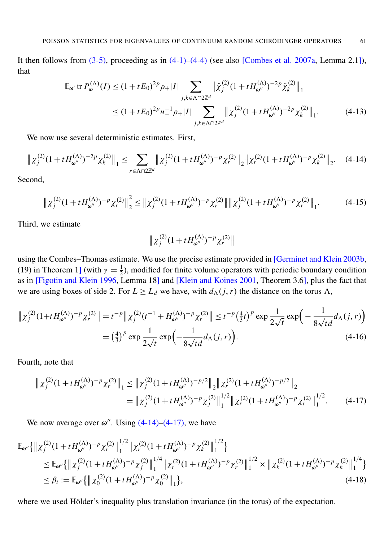<span id="page-13-5"></span>It then follows from  $(3-5)$ , proceeding as in  $(4-1)-(4-4)$  $(4-1)-(4-4)$  (see also [\[Combes et al. 2007a,](#page-30-9) Lemma 2.1]), that

$$
\mathbb{E}_{\omega'} \operatorname{tr} P_{\omega}^{(\Lambda)}(I) \le (1 + t E_0)^{2p} \rho_+ |I| \sum_{j,k \in \Lambda \cap 2\mathbb{Z}^d} \left\| \hat{\chi}_j^{(2)} (1 + t H_{\omega''}^{(\Lambda)})^{-2p} \hat{\chi}_k^{(2)} \right\|_1
$$
  

$$
\le (1 + t E_0)^{2p} u_-^{-1} \rho_+ |I| \sum_{j,k \in \Lambda \cap 2\mathbb{Z}^d} \left\| \chi_j^{(2)} (1 + t H_{\omega''}^{(\Lambda)})^{-2p} \chi_k^{(2)} \right\|_1.
$$
 (4-13)

We now use several deterministic estimates. First,

$$
\left\| \chi_j^{(2)} (1 + t H_{\omega''}^{(\Lambda)})^{-2p} \chi_k^{(2)} \right\|_1 \le \sum_{r \in \Lambda \cap 2\mathbb{Z}^d} \left\| \chi_j^{(2)} (1 + t H_{\omega''}^{(\Lambda)})^{-p} \chi_r^{(2)} \right\|_2 \left\| \chi_r^{(2)} (1 + t H_{\omega''}^{(\Lambda)})^{-p} \chi_k^{(2)} \right\|_2. \tag{4-14}
$$

Second,

<span id="page-13-2"></span>
$$
\left\| \chi_j^{(2)} (1 + t H_{\omega''}^{(\Lambda)})^{-p} \chi_r^{(2)} \right\|_2^2 \leq \left\| \chi_j^{(2)} (1 + t H_{\omega''}^{(\Lambda)})^{-p} \chi_r^{(2)} \right\| \left\| \chi_j^{(2)} (1 + t H_{\omega''}^{(\Lambda)})^{-p} \chi_r^{(2)} \right\|_1. \tag{4-15}
$$

Third, we estimate

<span id="page-13-3"></span><span id="page-13-0"></span>
$$
\|\chi_j^{(2)}(1+tH_{\pmb{\omega}''}^{(\Lambda)})^{-p}\chi_r^{(2)}\|
$$

using the Combes–Thomas estimate. We use the precise estimate provided in [\[Germinet and Klein 2003b,](#page-31-17) (19) in Theorem 1] (with  $\gamma = \frac{1}{2}$  $\frac{1}{2}$ ), modified for finite volume operators with periodic boundary condition as in [\[Figotin and Klein 1996,](#page-30-14) Lemma 18] and [\[Klein and Koines 2001,](#page-31-18) Theorem 3.6], plus the fact that we are using boxes of side 2. For  $L \geq L_d$  we have, with  $d_{\Lambda}(j, r)$  the distance on the torus  $\Lambda$ ,

$$
\| \chi_j^{(2)} (1 + t H_{\omega''}^{(\Lambda)})^{-p} \chi_r^{(2)} \| = t^{-p} \| \chi_j^{(2)} (t^{-1} + H_{\omega''}^{(\Lambda)})^{-p} \chi_r^{(2)} \| \le t^{-p} \left(\frac{4}{3} t\right)^p \exp \frac{1}{2\sqrt{t}} \exp \left(-\frac{1}{8\sqrt{t d}} d_{\Lambda}(j, r)\right)
$$
  
=  $\left(\frac{4}{3}\right)^p \exp \frac{1}{2\sqrt{t}} \exp \left(-\frac{1}{8\sqrt{t d}} d_{\Lambda}(j, r)\right).$  (4-16)

Fourth, note that

<span id="page-13-4"></span><span id="page-13-1"></span>
$$
\|\chi_j^{(2)}(1+tH_{\omega''}^{(\Lambda)})^{-p}\chi_r^{(2)}\|_1 \le \|\chi_j^{(2)}(1+tH_{\omega''}^{(\Lambda)})^{-p/2}\|_2 \|\chi_r^{(2)}(1+tH_{\omega''}^{(\Lambda)})^{-p/2}\|_2
$$
  

$$
= \|\chi_j^{(2)}(1+tH_{\omega''}^{(\Lambda)})^{-p}\chi_j^{(2)}\|_1^{1/2} \|\chi_r^{(2)}(1+tH_{\omega''}^{(\Lambda)})^{-p}\chi_r^{(2)}\|_1^{1/2}.
$$
 (4-17)

We now average over  $\omega''$ . Using  $(4-14)-(4-17)$  $(4-14)-(4-17)$ , we have

$$
\mathbb{E}_{\omega''}\{\|\chi_j^{(2)}(1+tH_{\omega''}^{(\Lambda)})^{-p}\chi_r^{(2)}\|_1^{1/2}\|\chi_r^{(2)}(1+tH_{\omega''}^{(\Lambda)})^{-p}\chi_k^{(2)}\|_1^{1/2}\}\n\leq \mathbb{E}_{\omega''}\{\|\chi_j^{(2)}(1+tH_{\omega''}^{(\Lambda)})^{-p}\chi_j^{(2)}\|_1^{1/4}\|\chi_r^{(2)}(1+tH_{\omega''}^{(\Lambda)})^{-p}\chi_r^{(2)}\|_1^{1/2}\times \|\chi_k^{(2)}(1+tH_{\omega''}^{(\Lambda)})^{-p}\chi_k^{(2)}\|_1^{1/4}\}\n\leq \beta_t := \mathbb{E}_{\omega''}\{\|\chi_0^{(2)}(1+tH_{\omega''}^{(\Lambda)})^{-p}\chi_0^{(2)}\|_1\},\n\tag{4-18}
$$

where we used Hölder's inequality plus translation invariance (in the torus) of the expectation.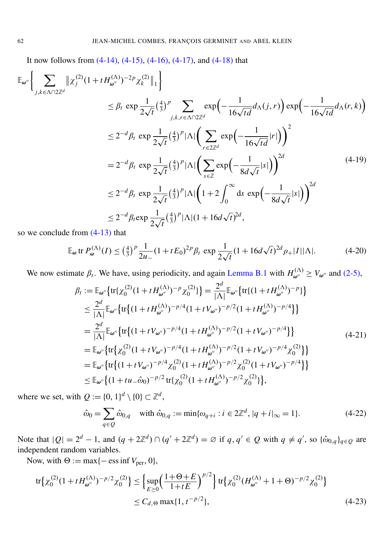<span id="page-14-2"></span>It now follows from [\(4-14\),](#page-13-0) [\(4-15\),](#page-13-2) [\(4-16\),](#page-13-3) [\(4-17\),](#page-13-1) and [\(4-18\)](#page-13-4) that

$$
\mathbb{E}_{\omega''}\Biggl\{\sum_{j,k\in\Lambda\cap 2\mathbb{Z}^d} \|\chi_j^{(2)}(1+tH_{\omega''}^{(\Lambda)})^{-2p}\chi_k^{(2)}\|_1\Biggr\}\leq \beta_t \exp\frac{1}{2\sqrt{t}}\left(\frac{4}{3}\right)^p \sum_{j,k,r\in\Lambda\cap 2\mathbb{Z}^d} \exp\left(-\frac{1}{16\sqrt{td}}d_{\Lambda}(j,r)\right) \exp\left(-\frac{1}{16\sqrt{td}}d_{\Lambda}(r,k)\right)\leq 2^{-d}\beta_t \exp\frac{1}{2\sqrt{t}}\left(\frac{4}{3}\right)^p |\Lambda|\Biggl(\sum_{r\in 2\mathbb{Z}^d} \exp\left(-\frac{1}{16\sqrt{td}}|r|\right)\Biggr)^2= 2^{-d}\beta_t \exp\frac{1}{2\sqrt{t}}\left(\frac{4}{3}\right)^p |\Lambda|\Biggl(\sum_{s\in\mathbb{Z}} \exp\left(-\frac{1}{8d\sqrt{t}}|s|\right)\Biggr)^{2d} \qquad(4-19)\leq 2^{-d}\beta_t \exp\frac{1}{2\sqrt{t}}\left(\frac{4}{3}\right)^p |\Lambda|\Biggl(1+2\int_0^\infty ds \exp\left(-\frac{1}{8d\sqrt{t}}|s|\right)\Biggr)^{2d}\leq 2^{-d}\beta_t \exp\frac{1}{2\sqrt{t}}\left(\frac{4}{3}\right)^p |\Lambda|(1+16d\sqrt{t})^{2d},
$$

so we conclude from [\(4-13\)](#page-13-5) that

$$
\mathbb{E}_{\omega} \operatorname{tr} P_{\omega}^{(\Lambda)}(I) \le \left(\frac{4}{3}\right)^p \frac{1}{2u_{-}} (1 + tE_0)^{2p} \beta_t \exp \frac{1}{2\sqrt{t}} (1 + 16d\sqrt{t})^{2d} \rho_+ |I||\Lambda|.
$$
 (4-20)

We now estimate  $\beta_t$ . We have, using periodicity, and again [Lemma B.1](#page-29-0) with  $H_{\omega''}^{(\Lambda)} \ge V_{\omega''}$  and [\(2-5\),](#page-3-3)

<span id="page-14-0"></span>
$$
\beta_{t} := \mathbb{E}_{\omega''} \{ tr \{ \chi_{0}^{(2)} (1 + t H_{\omega''}^{(\Lambda)})^{-p} \chi_{0}^{(2)} \} \} = \frac{2^{d}}{|\Lambda|} \mathbb{E}_{\omega''} \{ tr \{ (1 + t H_{\omega''}^{(\Lambda)})^{-p} \} \} \n\leq \frac{2^{d}}{|\Lambda|} \mathbb{E}_{\omega''} \{ tr \{ (1 + t H_{\omega''}^{(\Lambda)})^{-p/4} (1 + t V_{\omega''})^{-p/2} (1 + t H_{\omega''}^{(\Lambda)})^{-p/4} \} \} \n= \frac{2^{d}}{|\Lambda|} \mathbb{E}_{\omega''} \{ tr \{ (1 + t V_{\omega''})^{-p/4} (1 + t H_{\omega''}^{(\Lambda)})^{-p/2} (1 + t V_{\omega''})^{-p/4} \} \} \n= \mathbb{E}_{\omega''} \{ tr \{ \chi_{0}^{(2)} (1 + t V_{\omega''})^{-p/4} (1 + t H_{\omega''}^{(\Lambda)})^{-p/2} (1 + t V_{\omega''})^{-p/4} \chi_{0}^{(2)} \} \} \n= \mathbb{E}_{\omega''} \{ tr \{ (1 + t V_{\omega''})^{-p/4} \chi_{0}^{(2)} (1 + t H_{\omega''}^{(\Lambda)})^{-p/2} \chi_{0}^{(2)} (1 + t V_{\omega''})^{-p/4} \} \} \n\leq \mathbb{E}_{\omega''} \{ (1 + t u_{-\hat{\omega}_0})^{-p/2} tr \{ \chi_{0}^{(2)} (1 + t H_{\omega''}^{(\Lambda)})^{-p/2} \chi_{0}^{(2)} \} \},
$$
\n(4.21)

where we set, with  $Q := \{0, 1\}^d \setminus \{0\} \subset \mathbb{Z}^d$ ,

<span id="page-14-1"></span>
$$
\hat{\omega}_0 = \sum_{q \in \mathcal{Q}} \hat{\omega}_{0,q} \quad \text{with } \hat{\omega}_{0,q} := \min\{\omega_{q+i} : i \in 2\mathbb{Z}^d, |q+i|_{\infty} = 1\}.
$$
\n(4-22)

Note that  $|Q| = 2^d - 1$ , and  $(q + 2\mathbb{Z}^d) \cap (q' + 2\mathbb{Z}^d) = \emptyset$  if  $q, q' \in Q$  with  $q \neq q'$ , so  $\{\hat{\omega}_{0,q}\}_{q \in Q}$  are independent random variables.

Now, with  $\Theta := \max\{-\operatorname{ess\,inf} V_{\text{per}}, 0\},\$ 

$$
\text{tr}\left\{\chi_0^{(2)}(1+tH_{\omega''}^{(\Lambda)})^{-p/2}\chi_0^{(2)}\right\} \le \left\{\sup_{E\ge 0} \left(\frac{1+\Theta+E}{1+tE}\right)^{p/2}\right\} \text{tr}\left\{\chi_0^{(2)}(H_{\omega''}^{(\Lambda)}+1+\Theta)^{-p/2}\chi_0^{(2)}\right\}
$$
  

$$
\le C_{d,\Theta} \max\{1, t^{-p/2}\},\tag{4-23}
$$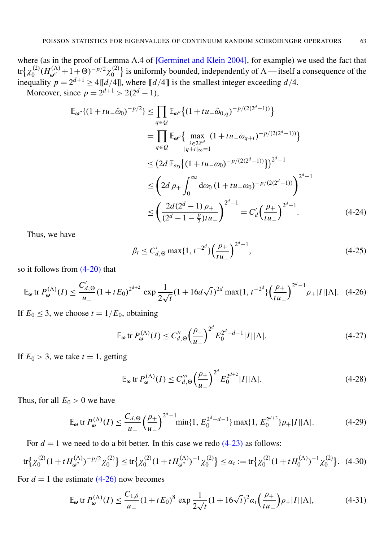where (as in the proof of Lemma A.4 of [\[Germinet and Klein 2004\]](#page-31-14), for example) we used the fact that tr $\{\chi_0^{(2)}\}$  $^{(2)}_{0}(H^{(\Lambda)}_{\omega''}+1+0)^{-p/2}\chi^{(2)}_{0}$  $\binom{1}{0}$  is uniformly bounded, independently of  $\Lambda$  — itself a consequence of the inequality  $p = 2^{d+1} \ge 4 \left[ \frac{d}{4} \right]$ , where  $\left[ \frac{d}{4} \right]$  is the smallest integer exceeding  $d/4$ . Moreover, since  $p = 2^{d+1} > 2(2^d - 1)$ ,

$$
\mathbb{E}_{\omega''}\{(1+tu_{-}\hat{\omega}_{0})^{-p/2}\} \leq \prod_{q\in Q} \mathbb{E}_{\omega''}\{(1+tu_{-}\hat{\omega}_{0,q})^{-p/(2(2^{d}-1))}\}
$$
\n
$$
= \prod_{q\in Q} \mathbb{E}_{\omega''}\{\max_{\substack{i\in 2\mathbb{Z}^{d} \\ |q+i|\infty=1}} (1+tu_{-}\omega_{q+i})^{-p/(2(2^{d}-1))}\}
$$
\n
$$
\leq (2d \mathbb{E}_{\omega_{0}}\{(1+tu_{-}\omega_{0})^{-p/(2(2^{d}-1))}\})^{2^{d}-1}
$$
\n
$$
\leq (2d \rho_{+} \int_{0}^{\infty} d\omega_{0} (1+tu_{-}\omega_{0})^{-p/(2(2^{d}-1))}\right)^{2^{d}-1}
$$
\n
$$
\leq \left(\frac{2d(2^{d}-1)\rho_{+}}{(2^{d}-1-\frac{p}{2})tu_{-}}\right)^{2^{d}-1} = C'_{d}\left(\frac{\rho_{+}}{tu_{-}}\right)^{2^{d}-1}.
$$
\n(4-24)

Thus, we have

<span id="page-15-0"></span>
$$
\beta_t \le C'_{d,\Theta} \max\{1, t^{-2^d}\} \left(\frac{\rho_+}{t u_-}\right)^{2^d - 1},\tag{4-25}
$$

so it follows from [\(4-20\)](#page-14-0) that

$$
\mathbb{E}_{\omega} \operatorname{tr} P_{\omega}^{(\Lambda)}(I) \le \frac{C'_{d,\Theta}}{u_{-}} \left(1 + tE_0\right)^{2^{d+2}} \exp \frac{1}{2\sqrt{t}} \left(1 + 16d\sqrt{t}\right)^{2d} \max\{1, t^{-2^d}\} \left(\frac{\rho_{+}}{tu_{-}}\right)^{2^d - 1} \rho_{+}|I||\Lambda|.\tag{4-26}
$$

If  $E_0 \leq 3$ , we choose  $t = 1/E_0$ , obtaining

$$
\mathbb{E}_{\omega} \text{ tr } P_{\omega}^{(\Lambda)}(I) \le C_{d,\Theta}'' \left(\frac{\rho_{+}}{u_{-}}\right)^{2^{d}} E_{0}^{2^{d}-d-1} |I||\Lambda|.
$$
 (4-27)

If  $E_0 > 3$ , we take  $t = 1$ , getting

<span id="page-15-1"></span>
$$
\mathbb{E}_{\omega} \text{ tr } P_{\omega}^{(\Lambda)}(I) \le C_{d,\Theta}''' \left(\frac{\rho_{+}}{u_{-}}\right)^{2^{d}} E_{0}^{2^{d+2}} |I| |\Lambda|.
$$
 (4-28)

Thus, for all  $E_0 > 0$  we have

$$
\mathbb{E}_{\omega} \operatorname{tr} P_{\omega}^{(\Lambda)}(I) \le \frac{C_{d,\Theta}}{u_{-}} \left(\frac{\rho_{+}}{u_{-}}\right)^{2^{d}-1} \min\{1, E_{0}^{2^{d}-d-1}\} \max\{1, E_{0}^{2^{d+2}}\} \rho_{+}|I||\Lambda|.
$$
 (4-29)

For  $d = 1$  we need to do a bit better. In this case we redo  $(4-23)$  as follows:

$$
\text{tr}\left\{\chi_0^{(2)}(1+tH_{\omega''}^{(\Lambda)})^{-p/2}\chi_0^{(2)}\right\} \le \text{tr}\left\{\chi_0^{(2)}(1+tH_{\omega''}^{(\Lambda)})^{-1}\chi_0^{(2)}\right\} \le \alpha_t := \text{tr}\left\{\chi_0^{(2)}(1+tH_0^{(\Lambda)})^{-1}\chi_0^{(2)}\right\}.\tag{4-30}
$$

For  $d = 1$  the estimate  $(4-26)$  now becomes

$$
\mathbb{E}_{\omega} \operatorname{tr} P_{\omega}^{(\Lambda)}(I) \le \frac{C_{1,\theta}}{u_{-}} (1 + tE_0)^8 \exp \frac{1}{2\sqrt{t}} (1 + 16\sqrt{t})^2 \alpha_t \left(\frac{\rho_{+}}{tu_{-}}\right) \rho_{+} |I||\Lambda|, \tag{4-31}
$$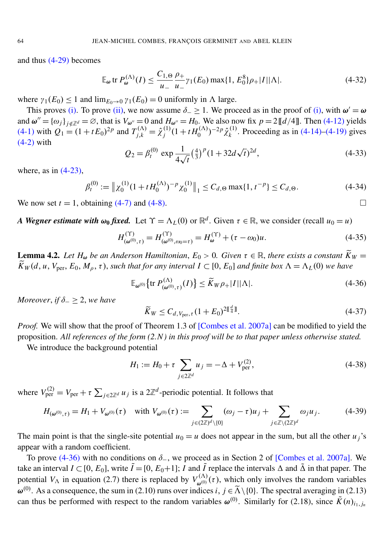and thus [\(4-29\)](#page-15-1) becomes

$$
\mathbb{E}_{\omega} \operatorname{tr} P_{\omega}^{(\Lambda)}(I) \le \frac{C_{1,\Theta}}{u_{-}} \frac{\rho_{+}}{u_{-}} \gamma_{1}(E_{0}) \max\{1, E_{0}^{8}\} \rho_{+} |I| |\Lambda|.
$$
 (4-32)

where  $\gamma_1(E_0) \leq 1$  and  $\lim_{E_0 \to 0} \gamma_1(E_0) = 0$  uniformly in  $\Lambda$  large.

This proves [\(i\).](#page-11-5) To prove [\(ii\),](#page-11-6) we now assume  $\delta_- \ge 1$ . We proceed as in the proof of [\(i\),](#page-11-5) with  $\omega' = \omega$ and  $\omega'' = {\{\omega_j\}}_{j \notin \mathbb{Z}^d} = \varnothing$ , that is  $V_{\omega''} = 0$  and  $H_{\omega''} = H_0$ . We also now fix  $p = 2[[d/4]]$ . Then [\(4-12\)](#page-12-2) yields  $(4-1)$  with  $Q_1 = (1 + tE_0)^{2p}$  and  $T_{j,k}^{(\Lambda)} = \hat{\chi}_j^{(1)}$  $j^{(1)}(1+tH_0^{(\Lambda)})^{-2p}\hat{\chi}_k^{(1)}$  $k^{(1)}$ . Proceeding as in  $(4-14)$ – $(4-19)$  gives [\(4-2\)](#page-11-7) with √

$$
Q_2 = \beta_t^{(0)} \exp \frac{1}{4\sqrt{t}} \left(\frac{4}{3}\right)^p (1 + 32d\sqrt{t})^{2d},\tag{4-33}
$$

where, as in  $(4-23)$ ,

$$
\beta_t^{(0)} := \left\| \chi_0^{(1)} (1 + t H_0^{(\Lambda)})^{-p} \chi_0^{(1)} \right\|_1 \le C_{d,\Theta} \max\{1, t^{-p}\} \le C_{d,\Theta}.
$$
\n(4-34)

We now set  $t = 1$ , obtaining [\(4-7\)](#page-11-8) and [\(4-8\).](#page-12-3)

*A Wegner estimate with*  $\omega_0$  *fixed.* Let  $\Upsilon = \Lambda_L(0)$  or  $\mathbb{R}^d$ . Given  $\tau \in \mathbb{R}$ , we consider (recall  $u_0 = u$ )

$$
H_{(\omega^{(0)},\tau)}^{(\Upsilon)} = H_{(\omega^{(0)},\omega_0=\tau)}^{(\Upsilon)} = H_{\omega}^{(\Upsilon)} + (\tau - \omega_0)u.
$$
 (4-35)

<span id="page-16-0"></span>**Lemma 4.2.** Let  $H_{\omega}$  be an Anderson Hamiltonian,  $E_0 > 0$ . Given  $\tau \in \mathbb{R}$ , there exists a constant  $\widetilde{K}_W =$  $\widetilde{K}_W(d, u, V_{\text{per}}, E_0, M_\rho, \tau)$ , *such that for any interval*  $I \subset [0, E_0]$  *and finite box*  $\Lambda = \Lambda_L(0)$  *we have* 

<span id="page-16-2"></span>
$$
\mathbb{E}_{\omega^{(0)}}\big\{\text{tr}\,P_{(\omega^{(0)},\tau)}^{(\Lambda)}(I)\big\} \le \widetilde{K}_W\rho_+|I||\Lambda|.\tag{4-36}
$$

*Moreover, if*  $\delta_-\geq 2$ *, we have* 

<span id="page-16-1"></span>
$$
\widetilde{K}_W \le C_{d, V_{\text{per}}, \tau} (1 + E_0)^{2 \mathbb{I}^d_{\mathbb{I}} \mathbb{I}}.
$$
\n(4-37)

*Proof.* We will show that the proof of Theorem 1.3 of [\[Combes et al. 2007a\]](#page-30-9) can be modified to yield the proposition. *All references of the form (2.N ) in this proof will be to that paper unless otherwise stated.*

We introduce the background potential

$$
H_1 := H_0 + \tau \sum_{j \in 2\mathbb{Z}^d} u_j = -\Delta + V_{\text{per}}^{(2)},\tag{4-38}
$$

where  $V_{\text{per}}^{(2)} = V_{\text{per}} + \tau \sum_{j \in 2\mathbb{Z}^d} u_j$  is a 2 $\mathbb{Z}^d$ -periodic potential. It follows that

$$
H_{(\omega^{(0)},\tau)} = H_1 + V_{\omega^{(0)}}(\tau) \quad \text{with } V_{\omega^{(0)}}(\tau) := \sum_{j \in (2\mathbb{Z})^d \setminus \{0\}} (\omega_j - \tau) u_j + \sum_{j \in \mathbb{Z} \setminus (2\mathbb{Z})^d} \omega_j u_j. \tag{4-39}
$$

The main point is that the single-site potential  $u_0 = u$  does not appear in the sum, but all the other  $u_i$ 's appear with a random coefficient.

To prove [\(4-36\)](#page-16-1) with no conditions on δ−, we proceed as in Section 2 of [\[Combes et al. 2007a\]](#page-30-9). We take an interval  $I \subset [0, E_0]$ , write  $\tilde{I} = [0, E_0 + 1]$ ; *I* and  $\tilde{I}$  replace the intervals  $\Delta$  and  $\tilde{\Delta}$  in that paper. The potential  $V_{\Lambda}$  in equation (2.7) there is replaced by  $V_{\omega^{(0)}}^{(\Lambda)}$  $\omega^{(A)}(\tau)$ , which only involves the random variables  $\omega^{(0)}$ . As a consequence, the sum in (2.10) runs over indices *i*,  $j \in \tilde{\Lambda} \setminus \{0\}$ . The spectral averaging in (2.13) can thus be performed with respect to the random variables  $\omega^{(0)}$ . Similarly for (2.18), since  $\tilde{K}(n)_{i_1,j_n}$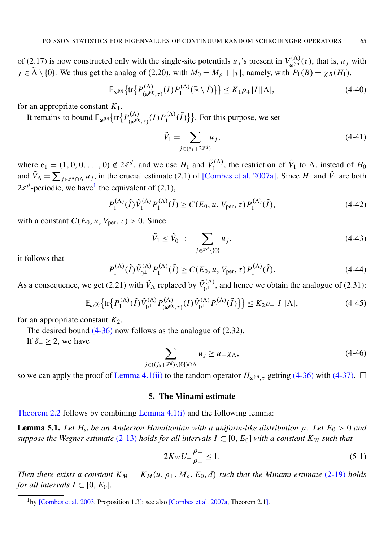of (2.17) is now constructed only with the single-site potentials  $u_j$ 's present in  $V_{\omega^{(0)}}^{(\Lambda)}$  $\omega^{(\Lambda)}_{\omega^{(0)}}(\tau)$ , that is,  $u_j$  with  $j \in \tilde{\Lambda} \setminus \{0\}$ . We thus get the analog of (2.20), with  $M_0 = M_\rho + |\tau|$ , namely, with  $P_1(B) = \chi_B(H_1)$ ,

$$
\mathbb{E}_{\omega^{(0)}}\big\{\text{tr}\big\{P_{(\omega^{(0)},\tau)}^{(\Lambda)}(I)P_1^{(\Lambda)}(\mathbb{R}\setminus\tilde{I})\big\}\big\} \le K_1\rho_+|I||\Lambda|,\tag{4-40}
$$

for an appropriate constant  $K_1$ .

It remains to bound  $\mathbb{E}_{\omega^{(0)}}\{\text{tr}\left\{P_{(\omega^{(0)})}^{(\Lambda)}\right\}$  $\mu_{(\omega^{(0)},\tau)}^{(\Lambda)}(I)P_1^{(\Lambda)}$  $\{f_1^{(\Lambda)}(\tilde{I})\}$ . For this purpose, we set

$$
\tilde{V}_1 = \sum_{j \in (e_1 + 2\mathbb{Z}^d)} u_j,\tag{4-41}
$$

where  $e_1 = (1, 0, 0, \dots, 0) \notin 2\mathbb{Z}^d$ , and we use  $H_1$  and  $\tilde{V}_1^{(\Lambda)}$  $t_1^{(A)}$ , the restriction of  $\tilde{V}_1$  to  $\Lambda$ , instead of  $H_0$ and  $\tilde{V}_{\Lambda} = \sum_{j \in \mathbb{Z}^d \cap \Lambda} u_j$ , in the crucial estimate (2.1) of [\[Combes et al. 2007a\]](#page-30-9). Since  $H_1$  and  $\tilde{V}_1$  are both  $2\mathbb{Z}^d$ -periodic, we have<sup>[1](#page-17-2)</sup> the equivalent of (2.1),

$$
P_1^{(\Lambda)}(\tilde{I})\tilde{V}_1^{(\Lambda)}P_1^{(\Lambda)}(\tilde{I}) \ge C(E_0, u, V_{\text{per}}, \tau)P_1^{(\Lambda)}(\tilde{I}),\tag{4-42}
$$

with a constant  $C(E_0, u, V_{\text{per}}, \tau) > 0$ . Since

$$
\tilde{V}_1 \le \tilde{V}_{0^{\perp}} := \sum_{j \in \mathbb{Z}^d \setminus \{0\}} u_j,\tag{4-43}
$$

it follows that

$$
P_1^{(\Lambda)}(\tilde{I})\tilde{V}_{0}^{(\Lambda)}P_1^{(\Lambda)}(\tilde{I}) \ge C(E_0, u, V_{\text{per}}, \tau)P_1^{(\Lambda)}(\tilde{I}).
$$
\n(4-44)

As a consequence, we get (2.21) with  $\tilde{V}_{\Lambda}$  replaced by  $\tilde{V}_{0}^{(\Lambda)}$ , and hence we obtain the analogue of (2.31):

$$
\mathbb{E}_{\omega^{(0)}}\big\{\text{tr}\big\{P_1^{(\Lambda)}(\tilde{I})\tilde{V}_{0^{\perp}}^{(\Lambda)}P_{(\omega^{(0)},\tau)}^{(\Lambda)}(I)\tilde{V}_{0^{\perp}}^{(\Lambda)}P_1^{(\Lambda)}(\tilde{I})\big\}\big\} \le K_2\rho_+|I||\Lambda|,\tag{4-45}
$$

for an appropriate constant  $K_2$ .

The desired bound  $(4-36)$  now follows as the analogue of  $(2.32)$ .

If  $\delta_-\geq 2$ , we have

$$
\sum_{j \in ((j_0 + \mathbb{Z}^d) \setminus \{0\}) \cap \Lambda} u_j \ge u - \chi_{\Lambda},\tag{4-46}
$$

so we can apply the proof of [Lemma 4.1](#page-11-1)[\(ii\)](#page-11-6) to the random operator  $H_{\omega^{(0)},\tau}$  getting [\(4-36\)](#page-16-1) with [\(4-37\).](#page-16-2)  $\Box$ 

### 5. The Minami estimate

<span id="page-17-1"></span><span id="page-17-0"></span>[Theorem 2.2](#page-5-6) follows by combining [Lemma 4.1](#page-11-1)[\(i\)](#page-11-5) and the following lemma:

**Lemma 5.1.** Let  $H_{\omega}$  be an Anderson Hamiltonian with a uniform-like distribution  $\mu$ . Let  $E_0 > 0$  and *suppose the Wegner estimate* [\(2-13\)](#page-4-0) *holds for all intervals*  $I \subset [0, E_0]$  *with a constant*  $K_W$  *such that* 

<span id="page-17-3"></span>
$$
2K_W U_+ \frac{\rho_+}{\rho_-} \le 1. \tag{5-1}
$$

*Then there exists a constant*  $K_M = K_M(u, \rho_{\pm}, M_\rho, E_0, d)$  *such that the Minami estimate* [\(2-19\)](#page-5-2) *holds for all intervals*  $I \subset [0, E_0]$ *.* 

<span id="page-17-2"></span><sup>&</sup>lt;sup>1</sup>by [\[Combes et al. 2003,](#page-30-12) Proposition 1.3]; see also [\[Combes et al. 2007a,](#page-30-9) Theorem 2.1].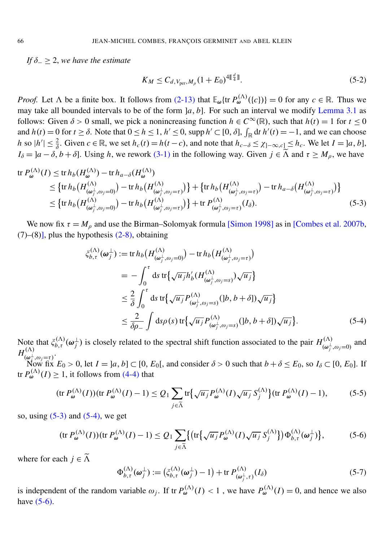*If* δ<sup>−</sup> ≥ 2, *we have the estimate*

<span id="page-18-3"></span><span id="page-18-0"></span>
$$
K_M \le C_{d, V_{\text{per}}, M_\rho} (1 + E_0)^{4 \llbracket \frac{d}{4} \rrbracket}.
$$
\n(5-2)

*Proof.* Let  $\Lambda$  be a finite box. It follows from [\(2-13\)](#page-4-0) that  $\mathbb{E}_{\omega} \{ \text{tr } P_{\omega}^{(\Lambda)}(\{c\}) \} = 0$  for any  $c \in \mathbb{R}$ . Thus we may take all bounded intervals to be of the form  $|a, b|$ . For such an interval we modify [Lemma 3.1](#page-7-1) as follows: Given  $\delta > 0$  small, we pick a nonincreasing function  $h \in C^{\infty}(\mathbb{R})$ , such that  $h(t) = 1$  for  $t \leq 0$ and  $h(t) = 0$  for  $t \ge \delta$ . Note that  $0 \le h \le 1$ ,  $h' \le 0$ , supp  $h' \subset [0, \delta]$ ,  $\int_{\mathbb{R}} dt h'(t) = -1$ , and we can choose h so  $|h'| \leq \frac{2}{\delta}$ . Given  $c \in \mathbb{R}$ , we set  $h_c(t) = h(t - c)$ , and note that  $h_{c-\delta} \leq \chi_{]-\infty, c} \leq h_c$ . We let  $I = [a, b]$ ,  $I_{\delta} = ]a - \delta, b + \delta]$ . Using *h*, we rework [\(3-1\)](#page-7-2) in the following way. Given  $j \in \tilde{\Lambda}$  and  $\tau \geq M_{\rho}$ , we have

$$
\operatorname{tr} P_{\omega}^{(\Lambda)}(I) \leq \operatorname{tr} h_b(H_{\omega}^{(\Lambda)}) - \operatorname{tr} h_{a-\delta}(H_{\omega}^{(\Lambda)}) \n\leq \left\{ \operatorname{tr} h_b\left(H_{(\omega_j^{\perp},\omega_j=0)}^{(\Lambda)}\right) - \operatorname{tr} h_b\left(H_{(\omega_j^{\perp},\omega_j=\tau)}^{(\Lambda)}\right) \right\} + \left\{ \operatorname{tr} h_b\left(H_{(\omega_j^{\perp},\omega_j=\tau)}^{(\Lambda)}\right) - \operatorname{tr} h_{a-\delta}\left(H_{(\omega_j^{\perp},\omega_j=\tau)}^{(\Lambda)}\right) \right\} \n\leq \left\{ \operatorname{tr} h_b\left(H_{(\omega_j^{\perp},\omega_j=0)}^{(\Lambda)}\right) - \operatorname{tr} h_b\left(H_{(\omega_j^{\perp},\omega_j=\tau)}^{(\Lambda)}\right) \right\} + \operatorname{tr} P_{(\omega_j^{\perp},\omega_j=\tau)}^{(\Lambda)}(I_{\delta}).
$$
\n(5-3)

We now fix  $\tau = M_\rho$  and use the Birman–Solomyak formula [\[Simon 1998\]](#page-32-9) as in [\[Combes et al. 2007b,](#page-30-15)  $(7)$ – $(8)$ ], plus the hypothesis  $(2-8)$ , obtaining

<span id="page-18-1"></span>
$$
\xi_{b,\tau}^{(\Lambda)}(\omega_j^{\perp}) := \text{tr}\, h_b\big(H_{(\omega_j^{\perp}, \omega_j=0)}^{(\Lambda)}\big) - \text{tr}\, h_b\big(H_{(\omega_j^{\perp}, \omega_j=\tau)}^{(\Lambda)}\big)
$$
\n
$$
= -\int_0^{\tau} ds \, \text{tr}\big\{\sqrt{u_j} h'_b\big(H_{(\omega_j^{\perp}, \omega_j=s)}^{(\Lambda)}\big)\sqrt{u_j}\big\}
$$
\n
$$
\leq \frac{2}{\delta} \int_0^{\tau} ds \, \text{tr}\big\{\sqrt{u_j} P_{(\omega_j^{\perp}, \omega_j=s)}^{(\Lambda)}([b, b+\delta])\sqrt{u_j}\big\}
$$
\n
$$
\leq \frac{2}{\delta \rho_-} \int ds \rho(s) \, \text{tr}\big\{\sqrt{u_j} P_{(\omega_j^{\perp}, \omega_j=s)}^{(\Lambda)}([b, b+\delta])\sqrt{u_j}\big\}. \tag{5-4}
$$

Note that  $\xi_{b,\tau}^{(\Lambda)}(\boldsymbol{\omega}_j^{\perp})$  $\frac{1}{j}$ ) is closely related to the spectral shift function associated to the pair  $H_{\left(\omega\right)}^{(\Lambda)}$  $(\omega_i^{\perp}, \omega_j=0)$  and  $H_{(0)}^{(\Lambda)}$  ( $\omega_j$ ) ( $\omega_j$ )  $(\omega_i^{\perp}, \omega_j = \tau)$ .

Now fix  $E_0 > 0$ , let  $I = [a, b] \subset [0, E_0]$ , and consider  $\delta > 0$  such that  $b + \delta \le E_0$ , so  $I_\delta \subset [0, E_0]$ . If tr  $P_{\omega}^{(\Lambda)}(I) \geq 1$ , it follows from [\(4-4\)](#page-11-4) that

$$
(\text{tr } P_{\omega}^{(\Lambda)}(I))(\text{tr } P_{\omega}^{(\Lambda)}(I) - 1) \le Q_1 \sum_{j \in \tilde{\Lambda}} \text{tr}\big\{\sqrt{u_j} P_{\omega}^{(\Lambda)}(I)\sqrt{u_j} S_j^{(\Lambda)}\big\} (\text{tr } P_{\omega}^{(\Lambda)}(I) - 1),\tag{5-5}
$$

so, using  $(5-3)$  and  $(5-4)$ , we get

$$
(\operatorname{tr} P_{\omega}^{(\Lambda)}(I))(\operatorname{tr} P_{\omega}^{(\Lambda)}(I) - 1) \le Q_1 \sum_{j \in \tilde{\Lambda}} \{ \left( \operatorname{tr} \{ \sqrt{u_j} P_{\omega}^{(\Lambda)}(I) \sqrt{u_j} S_j^{(\Lambda)} \} \right) \Phi_{b,\tau}^{(\Lambda)}(\omega_j^{\perp}) \},\tag{5-6}
$$

where for each  $j \in \widetilde{\Lambda}$ 

<span id="page-18-2"></span>
$$
\Phi_{b,\tau}^{(\Lambda)}(\boldsymbol{\omega}_j^{\perp}) := \left(\zeta_{b,\tau}^{(\Lambda)}(\boldsymbol{\omega}_j^{\perp}) - 1\right) + \text{tr}\, P_{(\boldsymbol{\omega}_j^{\perp},\tau)}^{(\Lambda)}(I_{\delta})\tag{5-7}
$$

is independent of the random variable  $\omega_j$ . If tr  $P_{\omega}^{(\Lambda)}(I) < 1$ , we have  $P_{\omega}^{(\Lambda)}(I) = 0$ , and hence we also have [\(5-6\).](#page-18-2)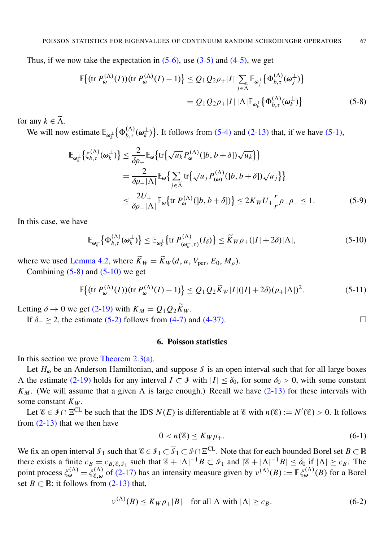Thus, if we now take the expectation in  $(5-6)$ , use  $(3-5)$  and  $(4-5)$ , we get

<span id="page-19-2"></span><span id="page-19-1"></span>
$$
\mathbb{E}\left\{(\operatorname{tr} P_{\boldsymbol{\omega}}^{(\Lambda)}(I))(\operatorname{tr} P_{\boldsymbol{\omega}}^{(\Lambda)}(I) - 1)\right\} \leq Q_1 Q_2 \rho_+ |I| \sum_{j \in \widetilde{\Lambda}} \mathbb{E}_{\boldsymbol{\omega}_j^{\perp}}\left\{\Phi_{b,\tau}^{(\Lambda)}(\boldsymbol{\omega}_j^{\perp})\right\}
$$

$$
= Q_1 Q_2 \rho_+ |I| |\Lambda| \mathbb{E}_{\boldsymbol{\omega}_k^{\perp}}\left\{\Phi_{b,\tau}^{(\Lambda)}(\boldsymbol{\omega}_k^{\perp})\right\} \tag{5-8}
$$

for any  $k \in \widetilde{\Lambda}$ .

We will now estimate  $\mathbb{E}_{\omega_k^{\perp}}\big\{\Phi_{b,\tau}^{(\Lambda)}(\omega_k^{\perp})\big\}$  $\downarrow$ <sub>k</sub>) }. It follows from [\(5-4\)](#page-18-1) and [\(2-13\)](#page-4-0) that, if we have [\(5-1\),](#page-17-3)

$$
\mathbb{E}_{\omega_k^{\perp}}\left\{\xi_{b,\tau}^{(\Lambda)}(\omega_k^{\perp})\right\} \leq \frac{2}{\delta\rho_{-}} \mathbb{E}_{\omega}\left\{\text{tr}\left\{\sqrt{u_k}P_{\omega}^{(\Lambda)}(|b,b+\delta|)\sqrt{u_k}\right\}\right\}
$$
\n
$$
= \frac{2}{\delta\rho_{-}|\Lambda|} \mathbb{E}_{\omega}\left\{\sum_{j\in\tilde{\Lambda}} \text{tr}\left\{\sqrt{u_j}P_{(\omega)}^{(\Lambda)}(|b,b+\delta|)\sqrt{u_j}\right\}\right\}
$$
\n
$$
\leq \frac{2U_{+}}{\delta\rho_{-}|\Lambda|} \mathbb{E}_{\omega}\left\{\text{tr } P_{\omega}^{(\Lambda)}(|b,b+\delta|)\right\} \leq 2K_{W}U_{+}\frac{r}{r}\rho_{+}\rho_{-} \leq 1. \tag{5-9}
$$

In this case, we have

<span id="page-19-3"></span>
$$
\mathbb{E}_{\omega_k^{\perp}}\big\{\Phi_{b,\tau}^{(\Lambda)}(\omega_k^{\perp})\big\} \le \mathbb{E}_{\omega_k^{\perp}}\big\{\text{tr}\,P_{(\omega_k^{\perp},\tau)}^{(\Lambda)}(I_{\delta})\big\} \le \widetilde{K}_{W}\rho_+(|I|+2\delta)|\Lambda|,\tag{5-10}
$$

where we used [Lemma 4.2,](#page-16-0) where  $\widetilde{K}_W = \widetilde{K}_W(d, u, V_{\text{per}}, E_0, M_0)$ .

Combining  $(5-8)$  and  $(5-10)$  we get

$$
\mathbb{E}\big\{(\text{tr }P_{\omega}^{(\Lambda)}(I))(\text{tr }P_{\omega}^{(\Lambda)}(I)-1)\big\} \le Q_1 Q_2 \widetilde{K}_W |I|(|I|+2\delta)(\rho_+|\Lambda|)^2. \tag{5-11}
$$

Letting  $\delta \rightarrow 0$  we get [\(2-19\)](#page-5-2) with  $K_M = Q_1 Q_2 \widetilde{K}_W$ .

If  $\delta$  > 2, the estimate [\(5-2\)](#page-18-3) follows from [\(4-7\)](#page-11-8) and [\(4-37\).](#page-16-2)

## 6. Poisson statistics

<span id="page-19-0"></span>In this section we prove [Theorem 2.3](#page-6-1)[\(a\).](#page-6-2)

Let  $H_{\omega}$  be an Anderson Hamiltonian, and suppose  $\mathcal{I}$  is an open interval such that for all large boxes  $\Lambda$  the estimate [\(2-19\)](#page-5-2) holds for any interval *I* ⊂ *I* with  $|I|$  ≤  $\delta_0$ , for some  $\delta_0 > 0$ , with some constant  $K_M$ . (We will assume that a given  $\Lambda$  is large enough.) Recall we have [\(2-13\)](#page-4-0) for these intervals with some constant *K<sup>W</sup>* .

Let  $\mathscr{E} \in \mathscr{I} \cap \Xi^{CL}$  be such that the IDS  $N(E)$  is differentiable at  $\mathscr{E}$  with  $n(\mathscr{E}) := N'(\mathscr{E}) > 0$ . It follows from [\(2-13\)](#page-4-0) that we then have

$$
0 < n(\mathcal{E}) \le K_W \rho_+.\tag{6-1}
$$

We fix an open interval  $\mathcal{I}_1$  such that  $\mathcal{E} \in \mathcal{I}_1 \subset \overline{\mathcal{I}}_1 \subset \mathcal{I} \cap \Xi^{CL}$ . Note that for each bounded Borel set  $B \subset \mathbb{R}$ there exists a finite  $c_B = c_{B, \mathcal{E}, \mathcal{I}_1}$  such that  $\mathcal{E} + |\Lambda|^{-1}B \subset \mathcal{I}_1$  and  $|\mathcal{E} + |\Lambda|^{-1}B| \leq \delta_0$  if  $|\Lambda| \geq c_B$ . The point process  $\xi_{\omega}^{(\Lambda)} = \xi_{\epsilon,\omega}^{(\Lambda)}$  $E_{\xi,\omega}^{(\Lambda)}$  of [\(2-17\)](#page-5-7) has an intensity measure given by  $v^{(\Lambda)}(B) := \mathbb{E} \xi_{\omega}^{(\Lambda)}(B)$  for a Borel set *B*  $\subset \mathbb{R}$ ; it follows from [\(2-13\)](#page-4-0) that,

<span id="page-19-4"></span>
$$
\nu^{(\Lambda)}(B) \le K_W \rho_+|B| \quad \text{for all } \Lambda \text{ with } |\Lambda| \ge c_B. \tag{6-2}
$$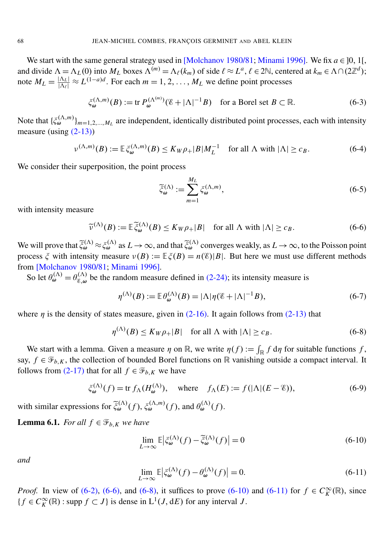We start with the same general strategy used in [\[Molchanov 1980/81;](#page-32-3) [Minami 1996\]](#page-32-5). We fix  $a \in [0, 1]$ , and divide  $\Lambda = \Lambda_L(0)$  into  $M_L$  boxes  $\Lambda^{(m)} = \Lambda_{\ell}(k_m)$  of side  $\ell \approx L^a$ ,  $\ell \in 2\mathbb{N}$ , centered at  $k_m \in \Lambda \cap (2\mathbb{Z}^d)$ ; note  $M_L = \frac{|\Lambda_L|}{|\Lambda_\ell|} \approx L^{(1-a)d}$ . For each  $m = 1, 2, ..., M_L$  we define point processes

<span id="page-20-5"></span>
$$
\xi_{\omega}^{(\Lambda,m)}(B) := \text{tr } P_{\omega}^{(\Lambda^{(m)})}(\mathscr{E} + |\Lambda|^{-1}B) \quad \text{for a Borel set } B \subset \mathbb{R}.
$$
 (6-3)

Note that  $\{\xi_{\omega}^{(\Lambda,m)}\}_{m=1,2,...,M_L}$  are independent, identically distributed point processes, each with intensity measure (using  $(2-13)$ )

$$
\nu^{(\Lambda, m)}(B) := \mathbb{E}\,\zeta_{\omega}^{(\Lambda, m)}(B) \le K_W \rho_+ |B|M_L^{-1} \quad \text{for all } \Lambda \text{ with } |\Lambda| \ge c_B. \tag{6-4}
$$

We consider their superposition, the point process

<span id="page-20-7"></span><span id="page-20-6"></span>
$$
\widetilde{\xi}_{\omega}^{(\Lambda)} := \sum_{m=1}^{M_L} \xi_{\omega}^{(\Lambda, m)},\tag{6-5}
$$

with intensity measure

<span id="page-20-0"></span>
$$
\widetilde{\nu}^{(\Lambda)}(B) := \mathbb{E}\,\widetilde{\xi}_{\omega}^{(\Lambda)}(B) \le K_W \rho_+|B| \quad \text{for all } \Lambda \text{ with } |\Lambda| \ge c_B. \tag{6-6}
$$

We will prove that  $\tilde{\xi}_{\omega}^{(\Lambda)} \approx \xi_{\omega}^{(\Lambda)}$  as  $L \to \infty$ , and that  $\tilde{\xi}_{\omega}^{(\Lambda)}$  converges weakly, as  $L \to \infty$ , to the Poisson point process  $\xi$  with intensity measure  $\nu(B) := \mathbb{E}\xi(B) = n(\mathscr{E})|B|$ . But here we must use different methods from [\[Molchanov 1980/81;](#page-32-3) [Minami 1996\]](#page-32-5).

So let  $\theta_{\omega}^{(\Lambda)} = \theta_{\varepsilon,\omega}^{(\Lambda)}$  $\mathcal{E}_{\mathcal{B},\omega}^{(N)}$  be the random measure defined in [\(2-24\);](#page-6-3) its intensity measure is

<span id="page-20-1"></span>
$$
\eta^{(\Lambda)}(B) := \mathbb{E} \theta_{\omega}^{(\Lambda)}(B) = |\Lambda| \eta (\mathscr{E} + |\Lambda|^{-1} B), \tag{6-7}
$$

where  $\eta$  is the density of states measure, given in [\(2-16\).](#page-5-5) It again follows from [\(2-13\)](#page-4-0) that

$$
\eta^{(\Lambda)}(B) \le K_W \rho_+|B| \quad \text{for all } \Lambda \text{ with } |\Lambda| \ge c_B. \tag{6-8}
$$

We start with a lemma. Given a measure  $\eta$  on  $\mathbb{R}$ , we write  $\eta(f) := \int_{\mathbb{R}} f d\eta$  for suitable functions f, say,  $f \in \mathcal{F}_{b,K}$ , the collection of bounded Borel functions on R vanishing outside a compact interval. It follows from [\(2-17\)](#page-5-7) that for all  $f \in \mathcal{F}_{b,K}$  we have

$$
\xi_{\omega}^{(\Lambda)}(f) = \text{tr } f_{\Lambda}(H_{\omega}^{(\Lambda)}), \quad \text{where} \quad f_{\Lambda}(E) := f(|\Lambda|(E - \mathscr{E})), \tag{6-9}
$$

with similar expressions for  $\tilde{\xi}_{\omega}^{(\Lambda)}(f)$ ,  $\xi_{\omega}^{(\Lambda,m)}(f)$ , and  $\theta_{\omega}^{(\Lambda)}(f)$ .

<span id="page-20-4"></span>**Lemma 6.1.** *For all*  $f \in \mathcal{F}_{b,K}$  *we have* 

<span id="page-20-2"></span>
$$
\lim_{L \to \infty} \mathbb{E} \left| \xi_{\omega}^{(\Lambda)}(f) - \tilde{\xi}_{\omega}^{(\Lambda)}(f) \right| = 0 \tag{6-10}
$$

<span id="page-20-3"></span>*and*

$$
\lim_{L \to \infty} \mathbb{E} \left| \xi_{\omega}^{(\Lambda)}(f) - \theta_{\omega}^{(\Lambda)}(f) \right| = 0. \tag{6-11}
$$

*Proof.* In view of [\(6-2\),](#page-19-4) [\(6-6\),](#page-20-0) and [\(6-8\),](#page-20-1) it suffices to prove [\(6-10\)](#page-20-2) and [\(6-11\)](#page-20-3) for  $f \in C_K^{\infty}(\mathbb{R})$ , since { $f$  ∈  $C_K^{\infty}(\mathbb{R})$  : supp  $f$  ⊂ *J*} is dense in L<sup>1</sup>(*J*, d*E*) for any interval *J*.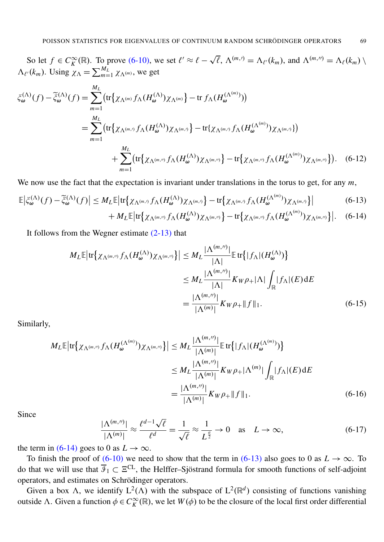So let  $f \in C_K^{\infty}(\mathbb{R})$ . To prove [\(6-10\),](#page-20-2) we set  $\ell' \approx \ell - \sqrt{\ell}$ ,  $\Lambda^{(m,\ell)} = \Lambda_{\ell'}(k_m)$ , and  $\Lambda^{(m,\ell)} = \Lambda_{\ell}(k_m)$  $\Lambda_{\ell'}(k_m)$ . Using  $\chi_{\Lambda} = \sum_{m=1}^{M_L} \chi_{\Lambda^{(m)}}$ , we get

$$
\xi_{\omega}^{(\Lambda)}(f) - \tilde{\xi}_{\omega}^{(\Lambda)}(f) = \sum_{m=1}^{M_L} \left( \text{tr} \{ \chi_{\Lambda^{(m)}} f_{\Lambda} (H_{\omega}^{(\Lambda)}) \chi_{\Lambda^{(m)}} \} - \text{tr} \ f_{\Lambda} (H_{\omega}^{(\Lambda^{(m)})}) \right)
$$
\n
$$
= \sum_{m=1}^{M_L} \left( \text{tr} \{ \chi_{\Lambda^{(m,\prime)}} f_{\Lambda} (H_{\omega}^{(\Lambda)}) \chi_{\Lambda^{(m,\prime)}} \} - \text{tr} \{ \chi_{\Lambda^{(m,\prime)}} f_{\Lambda} (H_{\omega}^{(\Lambda^{(m)})}) \chi_{\Lambda^{(m,\prime)}} \} \right)
$$
\n
$$
+ \sum_{m=1}^{M_L} \left( \text{tr} \{ \chi_{\Lambda^{(m,\prime)}} f_{\Lambda} (H_{\omega}^{(\Lambda)}) \chi_{\Lambda^{(m,\prime)}} \} - \text{tr} \{ \chi_{\Lambda^{(m,\prime)}} f_{\Lambda} (H_{\omega}^{(\Lambda^{(m)})}) \chi_{\Lambda^{(m,\prime)}} \} \right). \quad (6-12)
$$

We now use the fact that the expectation is invariant under translations in the torus to get, for any  $m$ ,

$$
\mathbb{E}\left|\xi_{\omega}^{(\Lambda)}(f) - \tilde{\xi}_{\omega}^{(\Lambda)}(f)\right| \leq M_{L}\mathbb{E}\left|\text{tr}\left\{\chi_{\Lambda^{(m,\prime)}}f_{\Lambda}(H_{\omega}^{(\Lambda)})\chi_{\Lambda^{(m,\prime)}}\right\} - \text{tr}\left\{\chi_{\Lambda^{(m,\prime)}}f_{\Lambda}(H_{\omega}^{(\Lambda^{(m)})})\chi_{\Lambda^{(m,\prime)}}\right\}\right| \tag{6-13}
$$

$$
+ M_L \mathbb{E} \big[ \text{tr} \big\{ \chi_{\Lambda^{(m, \prime)}} f_{\Lambda}(H_{\omega}^{(\Lambda)}) \chi_{\Lambda^{(m, \prime)}} \big\} - \text{tr} \big\{ \chi_{\Lambda^{(m, \prime)}} f_{\Lambda}(H_{\omega}^{(\Lambda^{(m)})}) \chi_{\Lambda^{(m, \prime)}} \big\} \big|. \quad (6-14)
$$

It follows from the Wegner estimate [\(2-13\)](#page-4-0) that

$$
M_L \mathbb{E} \left| \text{tr} \left\{ \chi_{\Lambda^{(m,\prime)}} f_{\Lambda} (H_{\omega}^{(\Lambda)}) \chi_{\Lambda^{(m,\prime)}} \right\} \right| \leq M_L \frac{|\Lambda^{(m,\prime)}|}{|\Lambda|} \mathbb{E} \left[ \text{tr} \left\{ |f_{\Lambda}| (H_{\omega}^{(\Lambda)}) \right\} \right]
$$
  

$$
\leq M_L \frac{|\Lambda^{(m,\prime)}|}{|\Lambda|} K_W \rho_+ |\Lambda| \int_{\mathbb{R}} |f_{\Lambda}| (E) dE
$$
  

$$
= \frac{|\Lambda^{(m,\prime)}|}{|\Lambda^{(m)}|} K_W \rho_+ \|f\|_1.
$$
 (6-15)

Similarly,

$$
M_{L}\mathbb{E}\left|\text{tr}\left\{\chi_{\Lambda^{(m,\prime)}}f_{\Lambda}(H_{\omega}^{(\Lambda^{(m)})})\chi_{\Lambda^{(m,\prime)}}\right\}\right| \leq M_{L}\frac{|\Lambda^{(m,\prime)}|}{|\Lambda^{(m)}|}\mathbb{E}\text{tr}\left\{|f_{\Lambda}|(H_{\omega}^{(\Lambda^{(m)})})\right\}
$$

$$
\leq M_{L}\frac{|\Lambda^{(m,\prime)}|}{|\Lambda^{(m)}|}K_{W}\rho_{+}|\Lambda^{(m)}|\int_{\mathbb{R}}|f_{\Lambda}|(E)\,dE
$$

$$
=\frac{|\Lambda^{(m,\prime)}|}{|\Lambda^{(m)}|}K_{W}\rho_{+}\|f\|_{1}.
$$
(6-16)

Since

$$
\frac{|\Lambda^{(m,r)}|}{|\Lambda^{(m)}|} \approx \frac{\ell^{d-1}\sqrt{\ell}}{\ell^d} = \frac{1}{\sqrt{\ell}} \approx \frac{1}{L^{\frac{d}{2}}} \to 0 \quad \text{as} \quad L \to \infty,
$$
 (6-17)

the term in [\(6-14\)](#page-21-0) goes to 0 as  $L \rightarrow \infty$ .

To finish the proof of [\(6-10\)](#page-20-2) we need to show that the term in [\(6-13\)](#page-21-1) also goes to 0 as  $L \rightarrow \infty$ . To do that we will use that  $\overline{\mathcal{F}}_1 \subset \Xi^{CL}$ , the Helffer–Sjöstrand formula for smooth functions of self-adjoint operators, and estimates on Schrödinger operators.

Given a box  $\Lambda$ , we identify  $L^2(\Lambda)$  with the subspace of  $L^2(\mathbb{R}^d)$  consisting of functions vanishing outside  $\Lambda$ . Given a function  $\phi \in C_K^{\infty}(\mathbb{R})$ , we let  $W(\phi)$  to be the closure of the local first order differential

<span id="page-21-1"></span><span id="page-21-0"></span>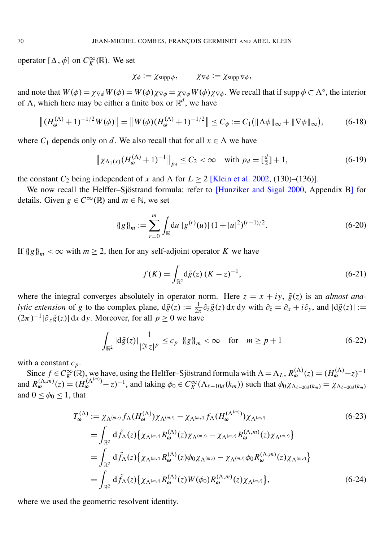operator  $[\Delta, \phi]$  on  $C_K^{\infty}(\mathbb{R})$ . We set

<span id="page-22-2"></span><span id="page-22-1"></span>
$$
\chi_{\phi} := \chi_{\text{supp}\,\phi}, \qquad \chi_{\nabla\phi} := \chi_{\text{supp}\,\nabla\phi},
$$

and note that  $W(\phi) = \chi_{\nabla \phi} W(\phi) = W(\phi) \chi_{\nabla \phi} = \chi_{\nabla \phi} W(\phi) \chi_{\nabla \phi}$ . We recall that if supp  $\phi \subset \Lambda^{\circ}$ , the interior of  $\Lambda$ , which here may be either a finite box or  $\mathbb{R}^d$ , we have

$$
\|(H_{\boldsymbol{\omega}}^{(\Lambda)}+1)^{-1/2}W(\phi)\| = \|W(\phi)(H_{\boldsymbol{\omega}}^{(\Lambda)}+1)^{-1/2}\| \le C_{\phi} := C_1(\|\Delta\phi\|_{\infty} + \|\nabla\phi\|_{\infty}),\tag{6-18}
$$

where  $C_1$  depends only on *d*. We also recall that for all  $x \in \Lambda$  we have

$$
\|\chi_{\Lambda_1(x)}(H_{\omega}^{(\Lambda)}+1)^{-1}\|_{p_d} \le C_2 < \infty \quad \text{with } p_d = \left[\frac{d}{2}\right]+1,\tag{6-19}
$$

the constant  $C_2$  being independent of *x* and  $\Lambda$  for  $L \ge 2$  [\[Klein et al. 2002,](#page-31-19) (130)–(136)].

We now recall the Helffer–Sjöstrand formula; refer to [\[Hunziker and Sigal 2000,](#page-31-20) Appendix B] for details. Given  $g \in C^{\infty}(\mathbb{R})$  and  $m \in \mathbb{N}$ , we set

$$
\{\!\{g\}\!\}_{m} := \sum_{r=0}^{m} \int_{\mathbb{R}} \! \mathrm{d}u \, \left|g^{(r)}(u)\right| (1+|u|^2)^{(r-1)/2}.\tag{6-20}
$$

If  ${g}$ <sub>l</sub><sup>m</sup> <  $\infty$  with *m*  $\geq$  2, then for any self-adjoint operator *K* we have

<span id="page-22-4"></span><span id="page-22-3"></span>
$$
f(K) = \int_{\mathbb{R}^2} d\tilde{g}(z) (K - z)^{-1},
$$
\n(6-21)

where the integral converges absolutely in operator norm. Here  $z = x + iy$ ,  $\tilde{g}(z)$  is an *almost analytic extension* of *g* to the complex plane,  $d\tilde{g}(z) := \frac{1}{2\pi} \partial_{\tilde{z}} \tilde{g}(z) dx dy$  with  $\partial_{\tilde{z}} = \partial_x + i \partial_y$ , and  $|d\tilde{g}(z)| :=$  $(2\pi)^{-1} |\partial_{\bar{z}} \tilde{g}(z)| dx dy$ . Moreover, for all  $p \ge 0$  we have

<span id="page-22-0"></span>
$$
\int_{\mathbb{R}^2} |\mathrm{d}\tilde{g}(z)| \frac{1}{|\Im z|^p} \le c_p \quad \text{{\{g\}}}_m < \infty \quad \text{for} \quad m \ge p+1 \tag{6-22}
$$

with a constant *cp*.

Since  $f \in C_K^{\infty}(\mathbb{R})$ , we have, using the Helffer–Sjöstrand formula with  $\Lambda = \Lambda_L$ ,  $R_{\omega}^{(\Lambda)}(z) = (H_{\omega}^{(\Lambda)} - z)^{-1}$ and  $R_{\omega}^{(\Lambda,m)}(z) = (H_{\omega}^{(\Lambda(m))} - z)^{-1}$ , and taking  $\phi_0 \in C_K^{\infty}(\Lambda_{\ell-10d}(k_m))$  such that  $\phi_0 \chi_{\Lambda_{\ell-20d}(k_m)} = \chi_{\Lambda_{\ell-20d}(k_m)}$ and  $0 \le \phi_0 \le 1$ , that

$$
T_{\omega}^{(\Lambda)} := \chi_{\Lambda^{(m,\prime)}} f_{\Lambda}(H_{\omega}^{(\Lambda)}) \chi_{\Lambda^{(m,\prime)}} - \chi_{\Lambda^{(m,\prime)}} f_{\Lambda}(H_{\omega}^{(\Lambda^{(m)})}) \chi_{\Lambda^{(m,\prime)}}
$$
(6-23)  
\n
$$
= \int_{\mathbb{R}^2} d\tilde{f}_{\Lambda}(z) \{ \chi_{\Lambda^{(m,\prime)}} R_{\omega}^{(\Lambda)}(z) \chi_{\Lambda^{(m,\prime)}} - \chi_{\Lambda^{(m,\prime)}} R_{\omega}^{(\Lambda,m)}(z) \chi_{\Lambda^{(m,\prime)}} \}
$$
  
\n
$$
= \int_{\mathbb{R}^2} d\tilde{f}_{\Lambda}(z) \{ \chi_{\Lambda^{(m,\prime)}} R_{\omega}^{(\Lambda)}(z) \phi_0 \chi_{\Lambda^{(m,\prime)}} - \chi_{\Lambda^{(m,\prime)}} \phi_0 R_{\omega}^{(\Lambda,m)}(z) \chi_{\Lambda^{(m,\prime)}} \}
$$
  
\n
$$
= \int_{\mathbb{R}^2} d\tilde{f}_{\Lambda}(z) \{ \chi_{\Lambda^{(m,\prime)}} R_{\omega}^{(\Lambda)}(z) W(\phi_0) R_{\omega}^{(\Lambda,m)}(z) \chi_{\Lambda^{(m,\prime)}} \},
$$
(6-24)

where we used the geometric resolvent identity.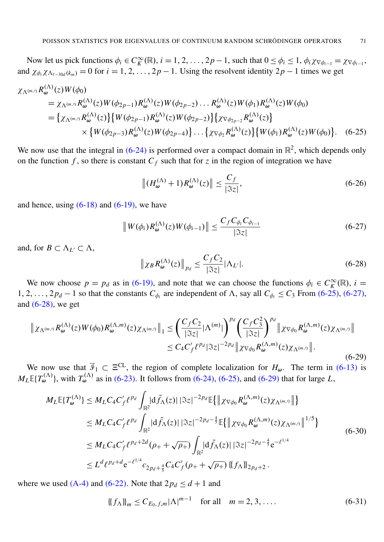Now let us pick functions  $\phi_i \in C_K^{\infty}(\mathbb{R})$ ,  $i = 1, 2, ..., 2p - 1$ , such that  $0 \le \phi_i \le 1$ ,  $\phi_i \chi_{\nabla \phi_{i-1}} = \chi_{\nabla \phi_{i-1}}$ , and  $\chi_{\phi_i}\chi_{\Lambda_{\ell-30d}(k_m)} = 0$  for  $i = 1, 2, ..., 2p - 1$ . Using the resolvent identity  $2p - 1$  times we get

$$
\chi_{\Lambda^{(m,r)}} R_{\omega}^{(\Lambda)}(z) W(\phi_0)
$$
\n
$$
= \chi_{\Lambda^{(m,r)}} R_{\omega}^{(\Lambda)}(z) W(\phi_{2p-1}) R_{\omega}^{(\Lambda)}(z) W(\phi_{2p-2}) \dots R_{\omega}^{(\Lambda)}(z) W(\phi_1) R_{\omega}^{(\Lambda)}(z) W(\phi_0)
$$
\n
$$
= \{ \chi_{\Lambda^{(m,r)}} R_{\omega}^{(\Lambda)}(z) \} \{ W(\phi_{2p-1}) R_{\omega}^{(\Lambda)}(z) W(\phi_{2p-2}) \} \{ \chi_{\nabla \phi_{2p-2}} R_{\omega}^{(\Lambda)}(z) \}
$$
\n
$$
\times \{ W(\phi_{2p-3}) R_{\omega}^{(\Lambda)}(z) W(\phi_{2p-4}) \} \dots \{ \chi_{\nabla \phi_2} R_{\omega}^{(\Lambda)}(z) \} \{ W(\phi_1) R_{\omega}^{(\Lambda)}(z) W(\phi_0) \} . \quad (6-25)
$$

We now use that the integral in  $(6-24)$  is performed over a compact domain in  $\mathbb{R}^2$ , which depends only on the function  $f$ , so there is constant  $C_f$  such that for  $\zeta$  in the region of integration we have

<span id="page-23-1"></span><span id="page-23-0"></span>
$$
\left\| \left( H_{\omega}^{(\Lambda)} + 1 \right) R_{\omega}^{(\Lambda)}(z) \right\| \le \frac{C_f}{|\Im z|},\tag{6-26}
$$

and hence, using  $(6-18)$  and  $(6-19)$ , we have

<span id="page-23-2"></span>
$$
\|W(\phi_i)R_{\omega}^{(\Lambda)}(z)W(\phi_{i-1})\| \le \frac{C_f C_{\phi_i} C_{\phi_{i-1}}}{|\Im z|} \tag{6-27}
$$

and, for  $B \subset \Lambda_{L'} \subset \Lambda$ ,

$$
\left\| \chi_B R_{\omega}^{(\Lambda)}(z) \right\|_{p_d} \le \frac{C_f C_2}{|\Im z|} |\Lambda_{L'}|.
$$
 (6-28)

We now choose  $p = p_d$  as in [\(6-19\),](#page-22-2) and note that we can choose the functions  $\phi_i \in C_K^{\infty}(\mathbb{R})$ ,  $i =$ 1, 2, . . . , 2 $p_d$  − 1 so that the constants  $C_{\phi_i}$  are independent of  $\Lambda$ , say all  $C_{\phi_i}$  ≤  $C_3$  From [\(6-25\),](#page-23-0) [\(6-27\),](#page-23-1) and  $(6-28)$ , we get

<span id="page-23-3"></span>
$$
\|\chi_{\Lambda^{(m,\prime)}}R_{\omega}^{(\Lambda)}(z)W(\phi_0)R_{\omega}^{(\Lambda,m)}(z)\chi_{\Lambda^{(m,\prime)}}\|_1 \leq \left(\frac{C_fC_2}{|\Im z|}|\Lambda^{(m)}|\right)^{pd} \left(\frac{C_fC_3^2}{|\Im z|}\right)^{pd} \|\chi_{\nabla\phi_0}R_{\omega}^{(\Lambda,m)}(z)\chi_{\Lambda^{(m,\prime)}}\|
$$
  

$$
\leq C_4C_f'\ell^{pd}|\Im z|^{-2p_d}\|\chi_{\nabla\phi_0}R_{\omega}^{(\Lambda,m)}(z)\chi_{\Lambda^{(m,\prime)}}\|.
$$
 (6-29)

We now use that  $\overline{\mathcal{I}}_1 \subset \Xi^{\text{CL}}$ , the region of complete localization for  $H_\omega$ . The term in [\(6-13\)](#page-21-1) is  $M_L \mathbb{E} \{ T_{\omega}^{(\Lambda)} \}$ , with  $T_{\omega}^{(\Lambda)}$  as in [\(6-23\).](#page-22-3) It follows from [\(6-24\),](#page-22-0) [\(6-25\),](#page-23-0) and [\(6-29\)](#page-23-3) that for large *L*,

$$
M_{L} \mathbb{E}\{T_{\omega}^{(\Lambda)}\} \leq M_{L} C_{4} C'_{f} \ell^{p_{d}} \int_{\mathbb{R}^{2}} \left| d\tilde{f}_{\Lambda}(z) \right| \left| \Im z \right|^{-2p_{d}} \mathbb{E}\{ \left\| \chi_{\nabla\phi_{0}} R_{\omega}^{(\Lambda, m)}(z) \chi_{\Lambda^{(m, \prime)}} \right\| \}
$$
  
\n
$$
\leq M_{L} C_{4} C'_{f} \ell^{p_{d}} \int_{\mathbb{R}^{2}} \left| d\tilde{f}_{\Lambda}(z) \right| \left| \Im z \right|^{-2p_{d} - \frac{4}{3}} \mathbb{E}\{ \left\| \chi_{\nabla\phi_{0}} R_{\omega}^{(\Lambda, m)}(z) \chi_{\Lambda^{(m, \prime)}} \right\|^{1/5} \}
$$
  
\n
$$
\leq M_{L} C_{4} C'_{f} \ell^{p_{d} + 2d}(\rho_{+} + \sqrt{\rho_{+}}) \int_{\mathbb{R}^{2}} \left| d\tilde{f}_{\Lambda}(z) \right| \left| \Im z \right|^{-2p_{d} - \frac{4}{3}} e^{-\ell^{1/4}}
$$
  
\n
$$
\leq L^{d} \ell^{p_{d} + d} e^{-\ell^{1/4}} c_{2p_{d} + \frac{4}{5}} C_{4} C'_{f}(\rho_{+} + \sqrt{\rho_{+}}) \left\{ \{ f_{\Lambda} \} \right\}_{2p_{d} + 2} .
$$
\n(6-30)

where we used  $(A-4)$  and  $(6-22)$ . Note that  $2p_d \leq d+1$  and

$$
\{f_{\Lambda}\}_{m} \le C_{E_0, f, m} |\Lambda|^{m-1} \quad \text{for all} \quad m = 2, 3, .... \tag{6-31}
$$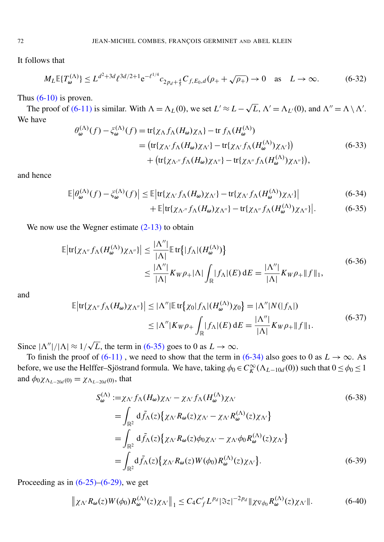It follows that

$$
M_L \mathbb{E} \{ T_{\omega}^{(\Lambda)} \} \le L^{d^2 + 3d} \ell^{3d/2 + 1} e^{-\ell^{1/4}} c_{2p_d + \frac{4}{5}} C_{f, E_0, d} (\rho_+ + \sqrt{\rho_+}) \to 0 \quad \text{as} \quad L \to \infty.
$$
 (6-32)

Thus  $(6-10)$  is proven.

us (6-10) is proven.<br>The proof of [\(6-11\)](#page-20-3) is similar. With  $\Lambda = \Lambda_L(0)$ , we set  $L' \approx L - \sqrt{L}$ ,  $\Lambda' = \Lambda_{L'}(0)$ , and  $\Lambda'' = \Lambda \setminus \Lambda'$ . We have

$$
\theta_{\omega}^{(\Lambda)}(f) - \xi_{\omega}^{(\Lambda)}(f) = \text{tr}\{\chi_{\Lambda}f_{\Lambda}(H_{\omega})\chi_{\Lambda}\} - \text{tr} f_{\Lambda}(H_{\omega}^{(\Lambda)})
$$
\n
$$
= (\text{tr}\{\chi_{\Lambda'}f_{\Lambda}(H_{\omega})\chi_{\Lambda'}\} - \text{tr}\{\chi_{\Lambda'}f_{\Lambda}(H_{\omega}^{(\Lambda)})\chi_{\Lambda'}\})
$$
\n
$$
+ (\text{tr}\{\chi_{\Lambda''}f_{\Lambda}(H_{\omega})\chi_{\Lambda''}\} - \text{tr}\{\chi_{\Lambda''}f_{\Lambda}(H_{\omega}^{(\Lambda)})\chi_{\Lambda''}\}),
$$
\n(6-33)

and hence

$$
\mathbb{E}\left|\theta_{\omega}^{(\Lambda)}(f) - \zeta_{\omega}^{(\Lambda)}(f)\right| \le \mathbb{E}\left|\text{tr}\{\chi_{\Lambda'}f_{\Lambda}(H_{\omega})\chi_{\Lambda'}\} - \text{tr}\{\chi_{\Lambda'}f_{\Lambda}(H_{\omega}^{(\Lambda)})\chi_{\Lambda'}\}\right| \tag{6-34}
$$

<span id="page-24-1"></span><span id="page-24-0"></span>
$$
+ \mathbb{E}\left[\text{tr}\{\chi_{\Lambda''}f_{\Lambda}(H_{\omega})\chi_{\Lambda''}\} - \text{tr}\{\chi_{\Lambda''}f_{\Lambda}(H_{\omega}^{(\Lambda)})\chi_{\Lambda''}\}\right].
$$
 (6-35)

We now use the Wegner estimate  $(2-13)$  to obtain

$$
\mathbb{E}\left|\text{tr}\{\chi_{\Lambda''}f_{\Lambda}(H_{\omega}^{(\Lambda)})\chi_{\Lambda''}\}\right| \leq \frac{|\Lambda''|}{|\Lambda|}\mathbb{E}\,\text{tr}\big\{|f_{\Lambda}|(H_{\omega}^{(\Lambda)})\big\}
$$
\n
$$
\leq \frac{|\Lambda''|}{|\Lambda|}K_{W}\rho_{+}|\Lambda|\int_{\mathbb{R}}|f_{\Lambda}|(E)\,\text{d}E = \frac{|\Lambda''|}{|\Lambda|}K_{W}\rho_{+}\|f\|_{1},\tag{6-36}
$$

and

$$
\mathbb{E}\left|\text{tr}\{\chi_{\Lambda''}f_{\Lambda}(H_{\omega})\chi_{\Lambda''}\}\right| \leq |\Lambda''|\mathbb{E}\,\text{tr}\{\chi_0|f_{\Lambda}|(H_{\omega}^{(\Lambda)})\chi_0\} = |\Lambda''|N(|f_{\Lambda}|)
$$
\n
$$
\leq |\Lambda''|K_{W}\rho_{+}\int_{\mathbb{R}}|f_{\Lambda}|(E)\,\text{d}E = \frac{|\Lambda''|}{|\Lambda|}K_{W}\rho_{+}||f||_{1}.\tag{6-37}
$$

Since  $|\Lambda''|/|\Lambda| \approx 1/\sqrt{3}$  $\overline{L}$ , the term in [\(6-35\)](#page-24-0) goes to 0 as  $L \rightarrow \infty$ .

To finish the proof of [\(6-11\)](#page-20-3), we need to show that the term in [\(6-34\)](#page-24-1) also goes to 0 as  $L \rightarrow \infty$ . As before, we use the Helffer–Sjöstrand formula. We have, taking  $\phi_0 \in C_K^{\infty}(\Lambda_{L-10d}(0))$  such that  $0 \le \phi_0 \le 1$ and  $\phi_0 \chi_{\Lambda_{L-20d}(0)} = \chi_{\Lambda_{L-20d}(0)}$ , that

<span id="page-24-3"></span><span id="page-24-2"></span>
$$
S_{\omega}^{(\Lambda)} := \chi_{\Lambda'} f_{\Lambda}(H_{\omega}) \chi_{\Lambda'} - \chi_{\Lambda'} f_{\Lambda}(H_{\omega}^{(\Lambda)}) \chi_{\Lambda'}
$$
\n
$$
= \int_{\mathbb{R}^2} d\tilde{f}_{\Lambda}(z) \{ \chi_{\Lambda'} R_{\omega}(z) \chi_{\Lambda'} - \chi_{\Lambda'} R_{\omega}^{(\Lambda)}(z) \chi_{\Lambda'} \}
$$
\n
$$
= \int_{\mathbb{R}^2} d\tilde{f}_{\Lambda}(z) \{ \chi_{\Lambda'} R_{\omega}(z) \phi_{0} \chi_{\Lambda'} - \chi_{\Lambda'} \phi_{0} R_{\omega}^{(\Lambda)}(z) \chi_{\Lambda'} \}
$$
\n
$$
= \int_{\mathbb{R}^2} d\tilde{f}_{\Lambda}(z) \{ \chi_{\Lambda'} R_{\omega}(z) W(\phi_{0}) R_{\omega}^{(\Lambda)}(z) \chi_{\Lambda'} \}. \tag{6-39}
$$

Proceeding as in  $(6-25)$ – $(6-29)$ , we get

<span id="page-24-4"></span>
$$
\|\chi_{\Lambda'}R_{\omega}(z)W(\phi_0)R_{\omega}^{(\Lambda)}(z)\chi_{\Lambda'}\|_1 \leq C_4C_f'L^{p_d}|\Im z|^{-2p_d}\|\chi_{\nabla\phi_0}R_{\omega}^{(\Lambda)}(z)\chi_{\Lambda'}\|.\tag{6-40}
$$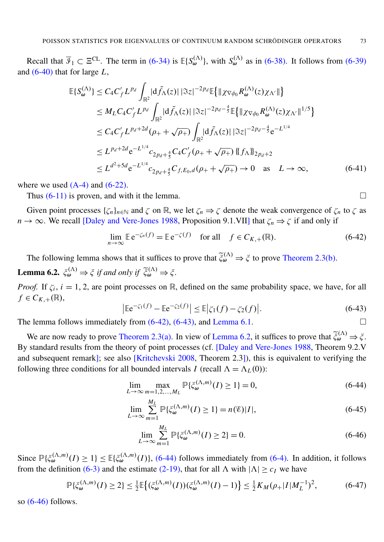Recall that  $\overline{\mathcal{I}}_1 \subset \Xi^{\text{CL}}$ . The term in [\(6-34\)](#page-24-1) is  $\mathbb{E}\{S_{\omega}^{(\Lambda)}\}$ , with  $S_{\omega}^{(\Lambda)}$  as in [\(6-38\).](#page-24-2) It follows from [\(6-39\)](#page-24-3) and [\(6-40\)](#page-24-4) that for large *L*,

$$
\mathbb{E}\{S_{\omega}^{(\Lambda)}\} \leq C_{4}C'_{f}L^{p_{d}}\int_{\mathbb{R}^{2}}|\mathrm{d}\tilde{f}_{\Lambda}(z)|\,|\Im z|^{-2p_{d}}\mathbb{E}\{\|\chi_{\nabla\phi_{0}}R_{\omega}^{(\Lambda)}(z)\chi_{\Lambda'}\|\}\n\n\leq M_{L}C_{4}C'_{f}L^{p_{d}}\int_{\mathbb{R}^{2}}|\mathrm{d}\tilde{f}_{\Lambda}(z)|\,|\Im z|^{-2p_{d}-\frac{4}{5}}\mathbb{E}\{\|\chi_{\nabla\phi_{0}}R_{\omega}^{(\Lambda)}(z)\chi_{\Lambda'}\|^{1/5}\}\n\n\leq C_{4}C'_{f}L^{p_{d}+2d}(\rho_{+}+\sqrt{\rho_{+}})\int_{\mathbb{R}^{2}}|\mathrm{d}\tilde{f}_{\Lambda}(z)|\,|\Im z|^{-2p_{d}-\frac{4}{5}}e^{-L^{1/4}}\n\n\leq L^{p_{d}+2d}e^{-L^{1/4}}c_{2p_{d}+\frac{4}{5}}C_{4}C'_{f}(\rho_{+}+\sqrt{\rho_{+}})\{\|\hat{f}_{\Lambda}\|_{2p_{d}+2}\n\n\leq L^{d^{2}+5d}e^{-L^{1/4}}c_{2p_{d}+\frac{4}{5}}C_{f,E_{0},d}(\rho_{+}+\sqrt{\rho_{+}})\to 0 \text{ as } L\to\infty,
$$
\n(6-41)

where we used  $(A-4)$  and  $(6-22)$ .

Thus  $(6-11)$  is proven, and with it the lemma.

Given point processes  $\{\zeta_n\}_{n\in\mathbb{N}}$  and  $\zeta$  on  $\mathbb{R}$ , we let  $\zeta_n \Rightarrow \zeta$  denote the weak convergence of  $\zeta_n$  to  $\zeta$  as *n*  $\rightarrow \infty$ . We recall [\[Daley and Vere-Jones 1988,](#page-30-10) Proposition 9.1.VII] that  $\zeta_n \Rightarrow \zeta$  if and only if

$$
\lim_{n \to \infty} \mathbb{E} e^{-\zeta_n(f)} = \mathbb{E} e^{-\zeta(f)} \quad \text{for all} \quad f \in C_{K,+}(\mathbb{R}). \tag{6-42}
$$

<span id="page-25-2"></span>The following lemma shows that it suffices to prove that  $\tilde{\xi}_{\omega}^{(\Lambda)} \Rightarrow \xi$  to prove [Theorem 2.3](#page-6-1)[\(b\).](#page-6-4) **Lemma 6.2.**  $\xi_{\omega}^{(\Lambda)} \Rightarrow \xi$  if and only if  $\widetilde{\xi}_{\omega}^{(\Lambda)} \Rightarrow \xi$ .

<span id="page-25-1"></span>*Proof.* If  $\zeta_i$ ,  $i = 1, 2$ , are point processes on R, defined on the same probability space, we have, for all  $f \in C_{K,+}(\mathbb{R}),$ 

$$
\left|\mathbb{E}e^{-\zeta_1(f)} - \mathbb{E}e^{-\zeta_2(f)}\right| \le \mathbb{E}|\zeta_1(f) - \zeta_2(f)|. \tag{6-43}
$$

The lemma follows immediately from  $(6-42)$ ,  $(6-43)$ , and [Lemma 6.1.](#page-20-4)

We are now ready to prove [Theorem 2.3](#page-6-1)[\(a\).](#page-6-2) In view of [Lemma 6.2,](#page-25-2) it suffices to prove that  $\tilde{\xi}_{\omega}^{(\Lambda)} \Rightarrow \xi$ . By standard results from the theory of point processes (cf. [\[Daley and Vere-Jones 1988,](#page-30-10) Theorem 9.2.V and subsequent remark]; see also [\[Kritchevski 2008,](#page-31-21) Theorem 2.3]), this is equivalent to verifying the following three conditions for all bounded intervals *I* (recall  $\Lambda = \Lambda_L(0)$ ):

$$
\lim_{L \to \infty} \max_{m=1,2,\dots,M_L} \mathbb{P}\{\xi_{\omega}^{(\Lambda,m)}(I) \ge 1\} = 0,
$$
\n(6-44)

$$
\lim_{L \to \infty} \sum_{m=1}^{M_L} \mathbb{P}\{\xi_{\omega}^{(\Lambda, m)}(I) \ge 1\} = n(\mathscr{E})|I|,\tag{6-45}
$$

<span id="page-25-6"></span><span id="page-25-4"></span>
$$
\lim_{L \to \infty} \sum_{m=1}^{M_L} \mathbb{P}\{\xi_{\omega}^{(\Lambda, m)}(I) \ge 2\} = 0.
$$
\n(6-46)

Since  $\mathbb{P}\{\xi_{\omega}^{(\Lambda,m)}(I)\geq 1\}\leq \mathbb{E}\{\xi_{\omega}^{(\Lambda,m)}(I)\}\,$ , [\(6-44\)](#page-25-3) follows immediately from [\(6-4\).](#page-20-5) In addition, it follows from the definition [\(6-3\)](#page-20-6) and the estimate [\(2-19\),](#page-5-2) that for all  $\Lambda$  with  $|\Lambda| \geq c_I$  we have

$$
\mathbb{P}\{\xi_{\omega}^{(\Lambda,m)}(I)\geq 2\} \leq \frac{1}{2}\mathbb{E}\left\{(\xi_{\omega}^{(\Lambda,m)}(I))(\xi_{\omega}^{(\Lambda,m)}(I)-1)\right\} \leq \frac{1}{2}K_M(\rho+|I|M_L^{-1})^2,\tag{6-47}
$$

so  $(6-46)$  follows.

<span id="page-25-5"></span><span id="page-25-3"></span><span id="page-25-0"></span>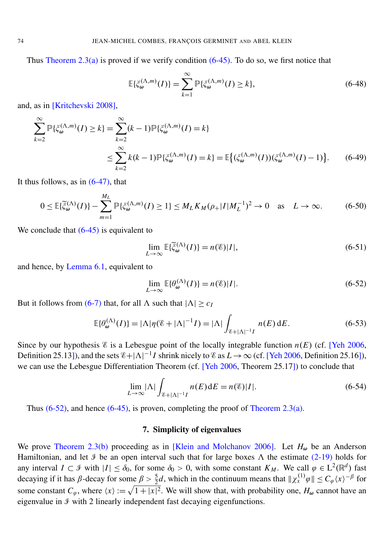Thus [Theorem 2.3](#page-6-1)[\(a\)](#page-6-2) is proved if we verify condition  $(6-45)$ . To do so, we first notice that

$$
\mathbb{E}\{\xi_{\omega}^{(\Lambda,m)}(I)\} = \sum_{k=1}^{\infty} \mathbb{P}\{\xi_{\omega}^{(\Lambda,m)}(I) \ge k\},\tag{6-48}
$$

and, as in [\[Kritchevski 2008\]](#page-31-21),

$$
\sum_{k=2}^{\infty} \mathbb{P}\{\xi_{\omega}^{(\Lambda,m)}(I) \ge k\} = \sum_{k=2}^{\infty} (k-1) \mathbb{P}\{\xi_{\omega}^{(\Lambda,m)}(I) = k\}
$$
\n
$$
\le \sum_{k=2}^{\infty} k(k-1) \mathbb{P}\{\xi_{\omega}^{(\Lambda,m)}(I) = k\} = \mathbb{E}\{(\xi_{\omega}^{(\Lambda,m)}(I))(\xi_{\omega}^{(\Lambda,m)}(I) - 1)\}.
$$
\n(6-49)

It thus follows, as in  $(6-47)$ , that

$$
0 \le \mathbb{E}\{\widetilde{\xi}_{\omega}^{(\Lambda)}(I)\} - \sum_{m=1}^{M_L} \mathbb{P}\{\xi_{\omega}^{(\Lambda,m)}(I) \ge 1\} \le M_L K_M(\rho_+ |I|M_L^{-1})^2 \to 0 \quad \text{as} \quad L \to \infty. \tag{6-50}
$$

We conclude that  $(6-45)$  is equivalent to

<span id="page-26-1"></span>
$$
\lim_{L \to \infty} \mathbb{E}\{\tilde{\xi}_{\omega}^{(\Lambda)}(I)\} = n(\mathscr{E})|I|,\tag{6-51}
$$

and hence, by [Lemma 6.1,](#page-20-4) equivalent to

$$
\lim_{L \to \infty} \mathbb{E}\{\theta_{\omega}^{(\Lambda)}(I)\} = n(\mathscr{E})|I|.
$$
\n(6-52)

But it follows from [\(6-7\)](#page-20-7) that, for all  $\Lambda$  such that  $|\Lambda| > c_I$ 

$$
\mathbb{E}\{\theta_{\omega}^{(\Lambda)}(I)\} = |\Lambda|\eta(\mathscr{C} + |\Lambda|^{-1}I) = |\Lambda|\int_{\mathscr{C} + |\Lambda|^{-1}I} n(E) dE.
$$
 (6-53)

Since by our hypothesis  $\&$  is a Lebesgue point of the locally integrable function  $n(E)$  (cf. [\[Yeh 2006,](#page-32-10) Definition 25.13]), and the sets  $\mathscr{E} + |\Lambda|^{-1}I$  shrink nicely to  $\mathscr{E}$  as  $L \to \infty$  (cf. [\[Yeh 2006,](#page-32-10) Definition 25.16]), we can use the Lebesgue Differentiation Theorem (cf. [\[Yeh 2006,](#page-32-10) Theorem 25.17]) to conclude that

$$
\lim_{L \to \infty} |\Lambda| \int_{\mathcal{E}+|\Lambda|^{-1}I} n(E) dE = n(\mathcal{E}) |I|.
$$
 (6-54)

Thus  $(6-52)$ , and hence  $(6-45)$ , is proven, completing the proof of [Theorem 2.3](#page-6-1)[\(a\).](#page-6-2)

## 7. Simplicity of eigenvalues

<span id="page-26-0"></span>We prove [Theorem 2.3](#page-6-1)[\(b\)](#page-6-4) proceeding as in [\[Klein and Molchanov 2006\]](#page-31-5). Let  $H_{\omega}$  be an Anderson Hamiltonian, and let  $\Im$  be an open interval such that for large boxes  $\Lambda$  the estimate [\(2-19\)](#page-5-2) holds for any interval  $I \subset \mathcal{F}$  with  $|I| \leq \delta_0$ , for some  $\delta_0 > 0$ , with some constant  $K_M$ . We call  $\varphi \in L^2(\mathbb{R}^d)$  fast decaying if it has  $\beta$ -decay for some  $\beta > \frac{5}{2}d$ , which in the continuum means that  $\|\chi_x^{(1)}\varphi\| \le C_\varphi \langle x \rangle^{-\beta}$  for some constant  $C_\varphi$ , where  $\langle x \rangle := \sqrt{1 + |x|^2}$ . We will show that, with probability one,  $H_\omega$  cannot have an eigenvalue in  $\mathcal I$  with 2 linearly independent fast decaying eigenfunctions.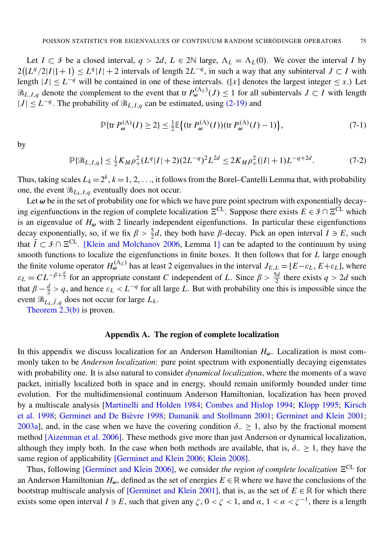Let *I* ⊂ *I* be a closed interval, *q* > 2*d*, *L* ∈ 2<sup> $N$ </sup> large,  $\Lambda$ <sub>*L*</sub> =  $\Lambda$ <sub>*L*</sub>(0). We cover the interval *I* by  $2([L^q/2|I|]+1) \leq L^q|I|+2$  intervals of length  $2L^{-q}$ , in such a way that any subinterval  $J \subset I$  with length  $|J| \le L^{-q}$  will be contained in one of these intervals. ([x] denotes the largest integer  $\le x$ .) Let  $\mathcal{B}_{L,I,q}$  denote the complement to the event that tr  $P_{\omega}^{(\Lambda_L)}(J) \leq 1$  for all subintervals  $J \subset I$  with length  $|J|$  ≤  $L^{-q}$ . The probability of  $\mathcal{B}_{L,I,q}$  can be estimated, using [\(2-19\)](#page-5-2) and

$$
\mathbb{P}\{\text{tr}\,P_{\omega}^{(\Lambda)}(I)\geq 2\}\leq \frac{1}{2}\mathbb{E}\big\{(\text{tr}\,P_{\omega}^{(\Lambda)}(I))(\text{tr}\,P_{\omega}^{(\Lambda)}(I)-1)\big\},\tag{7-1}
$$

by

$$
\mathbb{P}\{\mathcal{B}_{L,I,q}\} \le \frac{1}{2} K_M \rho_+^2 (L^q |I| + 2) (2L^{-q})^2 L^{2d} \le 2K_M \rho_+^2 (|I|+1) L^{-q+2d}.
$$
 (7-2)

Thus, taking scales  $L_k = 2^k$ ,  $k = 1, 2, \ldots$ , it follows from the Borel–Cantelli Lemma that, with probability one, the event  $\mathcal{B}_{L_k, I, q}$  eventually does not occur.

Let  $\omega$  be in the set of probability one for which we have pure point spectrum with exponentially decaying eigenfunctions in the region of complete localization  $\Xi^{\text{CL}}$ . Suppose there exists  $E \in \mathcal{I} \cap \Xi^{\text{CL}}$  which is an eigenvalue of  $H_{\omega}$  with 2 linearly independent eigenfunctions. In particular these eigenfunctions decay exponentially, so, if we fix  $\beta > \frac{5}{2}d$ , they both have  $\beta$ -decay. Pick an open interval  $I \ni E$ , such that  $\overline{I} \subset \mathcal{I} \cap \Xi^{CL}$ . [\[Klein and Molchanov 2006,](#page-31-5) Lemma 1] can be adapted to the continuum by using smooth functions to localize the eigenfunctions in finite boxes. It then follows that for *L* large enough the finite volume operator  $H_{\omega}^{(\Lambda_L)}$  has at least 2 eigenvalues in the interval  $J_{E,L} = [E - \varepsilon_L, E + \varepsilon_L]$ , where  $\varepsilon_L = CL^{-\beta + \frac{d}{2}}$  for an appropriate constant *C* independent of *L*. Since  $\beta > \frac{5d}{2}$  there exists  $q > 2d$  such that  $\beta - \frac{d}{2} > q$ , and hence  $\varepsilon_L < L^{-q}$  for all large *L*. But with probability one this is impossible since the event  $\mathcal{B}_{L_k, \bar{I}, q}$  does not occur for large  $L_k$ .

[Theorem 2.3](#page-6-1)[\(b\)](#page-6-4) is proven.

#### Appendix A. The region of complete localization

<span id="page-27-0"></span>In this appendix we discuss localization for an Anderson Hamiltonian  $H_{\omega}$ . Localization is most commonly taken to be *Anderson localization*: pure point spectrum with exponentially decaying eigenstates with probability one. It is also natural to consider *dynamical localization*, where the moments of a wave packet, initially localized both in space and in energy, should remain uniformly bounded under time evolution. For the multidimensional continuum Anderson Hamiltonian, localization has been proved by a multiscale analysis [\[Martinelli and Holden 1984;](#page-31-8) [Combes and Hislop 1994;](#page-30-5) [Klopp 1995;](#page-31-9) [Kirsch](#page-31-10) [et al. 1998;](#page-31-10) Germinet and De Bièvre 1998; [Damanik and Stollmann 2001;](#page-30-7) [Germinet and Klein](#page-31-12) [2001;](#page-31-12) [2003a\]](#page-31-13), and, in the case when we have the covering condition  $\delta_-\geq 1$ , also by the fractional moment method [\[Aizenman et al. 2006\]](#page-30-8). These methods give more than just Anderson or dynamical localization, although they imply both. In the case when both methods are available, that is,  $\delta_-\geq 1$ , they have the same region of applicability [\[Germinet and Klein 2006;](#page-31-6) [Klein 2008\]](#page-31-22).

Thus, following [\[Germinet and Klein 2006\]](#page-31-6), we consider *the region of complete localization*  $E^{CL}$  for an Anderson Hamiltonian  $H_{\omega}$ , defined as the set of energies  $E \in \mathbb{R}$  where we have the conclusions of the bootstrap multiscale analysis of [\[Germinet and Klein 2001\]](#page-31-12), that is, as the set of  $E \in \mathbb{R}$  for which there exists some open interval  $I \ni E$ , such that given any  $\zeta$ ,  $0 < \zeta < 1$ , and  $\alpha$ ,  $1 < \alpha < \zeta^{-1}$ , there is a length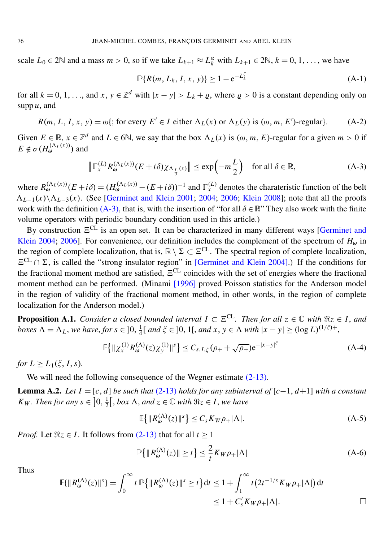scale  $L_0 \in 2\mathbb{N}$  and a mass  $m > 0$ , so if we take  $L_{k+1} \approx L_k^{\alpha}$  with  $L_{k+1} \in 2\mathbb{N}$ ,  $k = 0, 1, \dots$ , we have

<span id="page-28-4"></span>
$$
\mathbb{P}\{R(m, L_k, I, x, y)\} \ge 1 - e^{-L_k^{\zeta}}
$$
 (A-1)

for all  $k = 0, 1, \ldots$ , and  $x, y \in \mathbb{Z}^d$  with  $|x - y| > L_k + \varrho$ , where  $\varrho > 0$  is a constant depending only on supp *u*, and

$$
R(m, L, I, x, y) = \omega\{;
$$
 for every  $E' \in I$  either  $\Lambda_L(x)$  or  $\Lambda_L(y)$  is  $(\omega, m, E')$ -regular\}. (A-2)

Given  $E \in \mathbb{R}$ ,  $x \in \mathbb{Z}^d$  and  $L \in \mathbb{S}$ , we say that the box  $\Lambda_L(x)$  is  $(\omega, m, E)$ -regular for a given  $m > 0$  if  $E \notin \sigma(H_{\omega}^{(\Lambda_L(x))})$  and

<span id="page-28-1"></span>
$$
\left\| \Gamma_x^{(L)} R_{\omega}^{(\Lambda_L(x))}(E + i\delta) \chi_{\Lambda_{\frac{L}{3}}(x)} \right\| \le \exp\left( -m\frac{L}{2} \right) \quad \text{for all } \delta \in \mathbb{R},\tag{A-3}
$$

where  $R_{\omega}^{(\Lambda_L(x))}(E+i\delta) = (H_{\omega}^{(\Lambda_L(x))} - (E+i\delta))^{-1}$  and  $\Gamma_x^{(L)}$  denotes the charateristic function of the belt  $\bar{\Lambda}_{L-1}(x)\setminus \Lambda_{L-3}(x)$ . (See [\[Germinet and Klein](#page-31-12) [2001;](#page-31-12) [2004;](#page-31-14) [2006;](#page-31-6) [Klein 2008\]](#page-31-22); note that all the proofs work with the definition [\(A-3\),](#page-28-1) that is, with the insertion of "for all  $\delta \in \mathbb{R}$ " They also work with the finite volume operators with periodic boundary condition used in this article.)

By construction  $E^{CL}$  is an open set. It can be characterized in many different ways [\[Germinet and](#page-31-14) [Klein](#page-31-14) [2004;](#page-31-14) [2006\]](#page-31-6). For convenience, our definition includes the complement of the spectrum of  $H_{\omega}$  in the region of complete localization, that is,  $\mathbb{R} \setminus \Sigma \subset \Xi^{CL}$ . The spectral region of complete localization,  $E^{CL} \cap \Sigma$ , is called the "strong insulator region" in [\[Germinet and Klein 2004\]](#page-31-14).) If the conditions for the fractional moment method are satisfied,  $E^{CL}$  coincides with the set of energies where the fractional moment method can be performed. (Minami [\[1996\]](#page-32-5) proved Poisson statistics for the Anderson model in the region of validity of the fractional moment method, in other words, in the region of complete localization for the Anderson model.)

<span id="page-28-3"></span>**Proposition A.1.** *Consider a closed bounded interval*  $I \subset \Xi^{CL}$ *. Then for all*  $z \in \mathbb{C}$  *with*  $\Re z \in I$ *, and boxes*  $\Lambda = \Lambda_L$ , *we have, for*  $s \in ]0, \frac{1}{4}$  $\frac{1}{4}$ [ *and*  $\xi \in$  ]0, 1[, *and*  $x, y \in \Lambda$  *with*  $|x - y| \ge (\log L)^{(1/\xi) + 1}$ ,

$$
\mathbb{E}\left\{\|\chi_{x}^{(1)}R_{\omega}^{(\Lambda)}(z)\chi_{y}^{(1)}\|^{s}\right\} \leq C_{s,I,\zeta}(\rho_{+}+\sqrt{\rho_{+}})e^{-|x-y|^{\zeta}}
$$
(A-4)

*for*  $L > L_1(\xi, I, s)$ .

We will need the following consequence of the Wegner estimate  $(2-13)$ .

<span id="page-28-5"></span>**Lemma A.2.** *Let*  $I = [c, d]$  *be such that* [\(2-13\)](#page-4-0) *holds for any subinterval of*  $[c−1, d+1]$  *with a constant KW. Then for any*  $s \in [0, \frac{1}{2}]$  $\frac{1}{2}$ , *box*  $\Lambda$ *, and*  $z \in \mathbb{C}$  *with*  $\Re z \in I$ *, we have* 

<span id="page-28-2"></span><span id="page-28-0"></span>
$$
\mathbb{E}\left\{\|R_{\omega}^{(\Lambda)}(z)\|^s\right\} \le C_s K_W \rho_+ |\Lambda|.\tag{A-5}
$$

*Proof.* Let  $\Re z \in I$ . It follows from [\(2-13\)](#page-4-0) that for all  $t > 1$ 

$$
\mathbb{P}\left\{\|R_{\omega}^{(\Lambda)}(z)\| \ge t\right\} \le \frac{2}{t} K_W \rho_+ |\Lambda| \tag{A-6}
$$

Thus

$$
\mathbb{E}\{\|R_{\omega}^{(\Lambda)}(z)\|^s\} = \int_0^{\infty} t \, \mathbb{P}\{\|R_{\omega}^{(\Lambda)}(z)\|^s \ge t\} \, \mathrm{d}t \le 1 + \int_1^{\infty} t \left(2t^{-1/s} K_W \rho_+ |\Lambda|\right) \mathrm{d}t
$$
\n
$$
\le 1 + C'_s K_W \rho_+ |\Lambda|.
$$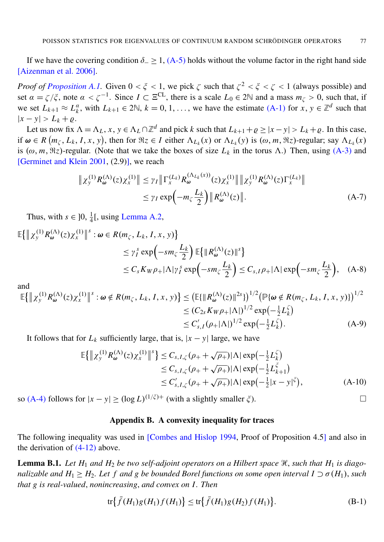If we have the covering condition  $\delta_-\geq 1$ , [\(A-5\)](#page-28-2) holds without the volume factor in the right hand side [\[Aizenman et al. 2006\]](#page-30-8).

*Proof of [Proposition A.1.](#page-28-3)* Given  $0 < \xi < 1$ , we pick  $\zeta$  such that  $\zeta^2 < \xi < \zeta < 1$  (always possible) and set  $\alpha = \zeta/\zeta$ , note  $\alpha < \zeta^{-1}$ . Since  $I \subset \Xi^{\text{CL}}$ , there is a scale  $L_0 \in 2\mathbb{N}$  and a mass  $m_{\zeta} > 0$ , such that, if we set  $L_{k+1} \approx L_k^{\alpha}$ , with  $L_{k+1} \in 2\mathbb{N}$ ,  $k = 0, 1, \ldots$ , we have the estimate [\(A-1\)](#page-28-4) for  $x, y \in \mathbb{Z}^d$  such that  $|x-y| > L_k + \varrho$ .

Let us now fix  $\Lambda = \Lambda_L$ ,  $x, y \in \Lambda_L \cap \mathbb{Z}^d$  and pick *k* such that  $L_{k+1} + \varrho \ge |x - y| > L_k + \varrho$ . In this case, if  $\omega \in R(m_\zeta, L_k, I, x, y)$ , then for  $\Re z \in I$  either  $\Lambda_{L_k}(x)$  or  $\Lambda_{L_k}(y)$  is  $(\omega, m, \Re z)$ -regular; say  $\Lambda_{L_k}(x)$ is ( $\omega$ , *m*,  $\Re z$ )-regular. (Note that we take the boxes of size  $L_k$  in the torus  $\Lambda$ .) Then, using [\(A-3\)](#page-28-1) and [\[Germinet and Klein 2001,](#page-31-12) (2.9)], we reach

$$
\|\chi_{\mathcal{Y}}^{(1)}R_{\omega}^{(\Lambda)}(z)\chi_{x}^{(1)}\| \leq \gamma_{I} \|\Gamma_{x}^{(L_{k})}R_{\omega}^{(\Lambda_{L_{k}}(x))}(z)\chi_{x}^{(1)}\| \|\chi_{\mathcal{Y}}^{(1)}R_{\omega}^{(\Lambda)}(z)\Gamma_{x}^{(L_{k})}\|
$$
  

$$
\leq \gamma_{I} \exp\left(-m_{\zeta}\frac{L_{k}}{2}\right) \|R_{\omega}^{(\Lambda)}(z)\|.
$$
 (A-7)

Thus, with  $s \in ]0, \frac{1}{4}$  $\frac{1}{4}$ [, using [Lemma A.2,](#page-28-5)

$$
\mathbb{E}\{\|\chi_{\mathcal{Y}}^{(1)}R_{\omega}^{(\Lambda)}(z)\chi_{x}^{(1)}\|^{s} : \omega \in R(m_{\zeta}, L_{k}, I, x, y)\}\n\n\leq \gamma_{I}^{s} \exp\left(-sm_{\zeta} \frac{L_{k}}{2}\right) \mathbb{E}\{\|R_{\omega}^{(\Lambda)}(z)\|^{s}\}\n\n\leq C_{s}K_{W}\rho_{+}|\Lambda|\gamma_{I}^{s} \exp\left(-sm_{\zeta} \frac{L_{k}}{2}\right) \leq C_{s,I}\rho_{+}|\Lambda| \exp\left(-sm_{\zeta} \frac{L_{k}}{2}\right), \quad (A-8)
$$

and

$$
\mathbb{E}\{\|\chi_{y}^{(1)}R_{\omega}^{(\Lambda)}(z)\chi_{x}^{(1)}\|^{s} : \omega \notin R(m_{\zeta}, L_{k}, I, x, y)\} \leq (\mathbb{E}\{\|R_{\omega}^{(\Lambda)}(z)\|^{2s}\})^{1/2} (\mathbb{P}\{\omega \notin R(m_{\zeta}, L_{k}, I, x, y)\})^{1/2} \leq (C_{2s}K_{W}\rho_{+}|\Lambda|)^{1/2} \exp(-\frac{1}{2}L_{k}^{\zeta}) \leq C'_{s,I}(\rho_{+}|\Lambda|)^{1/2} \exp(-\frac{1}{2}L_{k}^{\zeta}).
$$
\n(A-9)

It follows that for  $L_k$  sufficiently large, that is,  $|x - y|$  large, we have

$$
\mathbb{E}\{\| \chi_{\mathbf{y}}^{(1)} R_{\boldsymbol{\omega}}^{(\Lambda)}(z) \chi_{x}^{(1)} \|^{s} \} \leq C_{s, I, \zeta} (\rho_{+} + \sqrt{\rho_{+}}) |\Lambda| \exp\left(-\frac{1}{2} L_{k}^{\zeta}\right) \n\leq C_{s, I, \zeta} (\rho_{+} + \sqrt{\rho_{+}}) |\Lambda| \exp\left(-\frac{1}{2} L_{k+1}^{\zeta}\right) \n\leq C'_{s, I, \zeta} (\rho_{+} + \sqrt{\rho_{+}}) |\Lambda| \exp\left(-\frac{1}{2} |x - y|^{\zeta}\right),
$$
\n(A-10)

so [\(A-4\)](#page-28-0) follows for  $|x - y| \ge (\log L)^{(1/\zeta)+}$  (with a slightly smaller  $\zeta$ ).

#### Appendix B. A convexity inequality for traces

<span id="page-29-1"></span>The following inequality was used in [\[Combes and Hislop 1994,](#page-30-5) Proof of Proposition 4.5] and also in the derivation of  $(4-12)$  above.

<span id="page-29-0"></span>**Lemma B.1.** Let  $H_1$  and  $H_2$  be two self-adjoint operators on a Hilbert space  $\mathcal{H}$ , such that  $H_1$  is diago*nalizable and H*<sub>1</sub>  $\geq$  *H*<sub>2</sub>*. Let f and g be bounded Borel functions on some open interval I*  $\supset \sigma(H_1)$ *, such that g is real-valued*, *nonincreasing*, *and convex on I . Then*

$$
\text{tr}\big\{\bar{f}(H_1)g(H_1)f(H_1)\big\}\leq\text{tr}\big\{\bar{f}(H_1)g(H_2)f(H_1)\big\}.\tag{B-1}
$$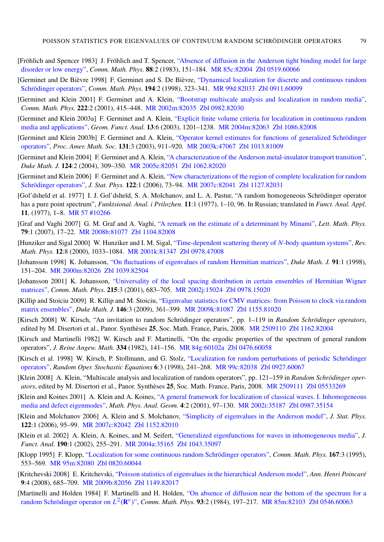- <span id="page-31-15"></span>[Fröhlich and Spencer 1983] J. Fröhlich and T. Spencer, ["Absence of diffusion in the Anderson tight binding model for large](http://projecteuclid.org/getRecord?id=euclid.cmp/1103922279) [disorder or low energy",](http://projecteuclid.org/getRecord?id=euclid.cmp/1103922279) *Comm. Math. Phys.* 88:2 (1983), 151–184. [MR 85c:82004](http://www.ams.org/mathscinet-getitem?mr=85c:82004) [Zbl 0519.60066](http://www.emis.de/cgi-bin/MATH-item?0519.60066)
- <span id="page-31-11"></span>[Germinet and De Bièvre 1998] F. Germinet and S. De Bièvre, ["Dynamical localization for discrete and continuous random](http://dx.doi.org/10.1007/s002200050360) [Schrödinger operators",](http://dx.doi.org/10.1007/s002200050360) *Comm. Math. Phys.* 194:2 (1998), 323–341. [MR 99d:82033](http://www.ams.org/mathscinet-getitem?mr=99d:82033) [Zbl 0911.60099](http://www.emis.de/cgi-bin/MATH-item?0911.60099)
- <span id="page-31-12"></span>[Germinet and Klein 2001] F. Germinet and A. Klein, ["Bootstrap multiscale analysis and localization in random media",](http://dx.doi.org/10.1007/s002200100518) *Comm. Math. Phys.* 222:2 (2001), 415–448. [MR 2002m:82035](http://www.ams.org/mathscinet-getitem?mr=2002m:82035) [Zbl 0982.82030](http://www.emis.de/cgi-bin/MATH-item?0982.82030)
- <span id="page-31-13"></span>[Germinet and Klein 2003a] F. Germinet and A. Klein, ["Explicit finite volume criteria for localization in continuous random](http://dx.doi.org/10.1007/s00039-003-0444-5) [media and applications",](http://dx.doi.org/10.1007/s00039-003-0444-5) *Geom. Funct. Anal.* 13:6 (2003), 1201–1238. [MR 2004m:82063](http://www.ams.org/mathscinet-getitem?mr=2004m:82063) [Zbl 1086.82008](http://www.emis.de/cgi-bin/MATH-item?1086.82008)
- <span id="page-31-17"></span>[Germinet and Klein 2003b] F. Germinet and A. Klein, ["Operator kernel estimates for functions of generalized Schrödinger](http://dx.doi.org/10.1090/S0002-9939-02-06578-4) [operators",](http://dx.doi.org/10.1090/S0002-9939-02-06578-4) *Proc. Amer. Math. Soc.* 131:3 (2003), 911–920. [MR 2003k:47067](http://www.ams.org/mathscinet-getitem?mr=2003k:47067) [Zbl 1013.81009](http://www.emis.de/cgi-bin/MATH-item?1013.81009)
- <span id="page-31-14"></span>[Germinet and Klein 2004] F. Germinet and A. Klein, ["A characterization of the Anderson metal-insulator transport transition",](http://dx.doi.org/10.1215/S0012-7094-04-12423-6) *Duke Math. J.* 124:2 (2004), 309–350. [MR 2005e:82051](http://www.ams.org/mathscinet-getitem?mr=2005e:82051) [Zbl 1062.82020](http://www.emis.de/cgi-bin/MATH-item?1062.82020)
- <span id="page-31-6"></span>[Germinet and Klein 2006] F. Germinet and A. Klein, ["New characterizations of the region of complete localization for random](http://dx.doi.org/10.1007/s10955-005-8068-9) [Schrödinger operators",](http://dx.doi.org/10.1007/s10955-005-8068-9) *J. Stat. Phys.* 122:1 (2006), 73–94. [MR 2007c:82041](http://www.ams.org/mathscinet-getitem?mr=2007c:82041) [Zbl 1127.82031](http://www.emis.de/cgi-bin/MATH-item?1127.82031)
- <span id="page-31-3"></span>[Gol'dsheĭd et al. 1977] I. J. Gol'dsheĭd, S. A. Molchanov, and L. A. Pastur, "A random homogeneous Schrödinger operator has a pure point spectrum", *Funktsional. Anal. i Prilozhen.* 11:1 (1977), 1–10, 96. In Russian; translated in *Funct. Anal. Appl.* 11, (1977), 1–8. [MR 57 #10266](http://www.ams.org/mathscinet-getitem?mr=57:10266)
- <span id="page-31-4"></span>[Graf and Vaghi 2007] G. M. Graf and A. Vaghi, ["A remark on the estimate of a determinant by Minami",](http://dx.doi.org/10.1007/s11005-006-0120-4) *Lett. Math. Phys.* 79:1 (2007), 17–22. [MR 2008b:81077](http://www.ams.org/mathscinet-getitem?mr=2008b:81077) [Zbl 1104.82008](http://www.emis.de/cgi-bin/MATH-item?1104.82008)
- <span id="page-31-20"></span>[Hunziker and Sigal 2000] W. Hunziker and I. M. Sigal, ["Time-dependent scattering theory of](http://dx.doi.org/10.1142/S0129055X0000040X) *N*-body quantum systems", *Rev. Math. Phys.* 12:8 (2000), 1033–1084. [MR 2001k:81347](http://www.ams.org/mathscinet-getitem?mr=2001k:81347) [Zbl 0978.47008](http://www.emis.de/cgi-bin/MATH-item?0978.47008)
- <span id="page-31-0"></span>[Johansson 1998] K. Johansson, ["On fluctuations of eigenvalues of random Hermitian matrices",](http://dx.doi.org/10.1215/S0012-7094-98-09108-6) *Duke Math. J.* 91:1 (1998), 151–204. [MR 2000m:82026](http://www.ams.org/mathscinet-getitem?mr=2000m:82026) [Zbl 1039.82504](http://www.emis.de/cgi-bin/MATH-item?1039.82504)
- <span id="page-31-1"></span>[Johansson 2001] K. Johansson, ["Universality of the local spacing distribution in certain ensembles of Hermitian Wigner](http://dx.doi.org/10.1007/s002200000328) [matrices",](http://dx.doi.org/10.1007/s002200000328) *Comm. Math. Phys.* 215:3 (2001), 683–705. [MR 2002j:15024](http://www.ams.org/mathscinet-getitem?mr=2002j:15024) [Zbl 0978.15020](http://www.emis.de/cgi-bin/MATH-item?0978.15020)
- <span id="page-31-2"></span>[Killip and Stoiciu 2009] R. Killip and M. Stoiciu, ["Eigenvalue statistics for CMV matrices: from Poisson to clock via random](http://dx.doi.org/10.1215/00127094-2009-001) [matrix ensembles",](http://dx.doi.org/10.1215/00127094-2009-001) *Duke Math. J.* 146:3 (2009), 361–399. [MR 2009k:81087](http://www.ams.org/mathscinet-getitem?mr=2009k:81087) [Zbl 1155.81020](http://www.emis.de/cgi-bin/MATH-item?1155.81020)
- <span id="page-31-16"></span>[Kirsch 2008] W. Kirsch, "An invitation to random Schrödinger operators", pp. 1–119 in *Random Schrödinger operators*, edited by M. Disertori et al., Panor. Synthèses 25, Soc. Math. France, Paris, 2008. [MR 2509110](http://www.ams.org/mathscinet-getitem?mr=2509110) [Zbl 1162.82004](http://www.emis.de/cgi-bin/MATH-item?1162.82004)
- <span id="page-31-7"></span>[Kirsch and Martinelli 1982] W. Kirsch and F. Martinelli, "On the ergodic properties of the spectrum of general random operators", *J. Reine Angew. Math.* 334 (1982), 141–156. [MR 84g:60102a](http://www.ams.org/mathscinet-getitem?mr=84g:60102a) [Zbl 0476.60058](http://www.emis.de/cgi-bin/MATH-item?0476.60058)
- <span id="page-31-10"></span>[Kirsch et al. 1998] W. Kirsch, P. Stollmann, and G. Stolz, ["Localization for random perturbations of periodic Schrödinger](http://dx.doi.org/10.1515/rose.1998.6.3.241) [operators",](http://dx.doi.org/10.1515/rose.1998.6.3.241) *Random Oper. Stochastic Equations* 6:3 (1998), 241–268. [MR 99c:82038](http://www.ams.org/mathscinet-getitem?mr=99c:82038) [Zbl 0927.60067](http://www.emis.de/cgi-bin/MATH-item?0927.60067)
- <span id="page-31-22"></span>[Klein 2008] A. Klein, "Multiscale analysis and localization of random operators", pp. 121–159 in *Random Schrödinger operators*, edited by M. Disertori et al., Panor. Synthèses 25, Soc. Math. France, Paris, 2008. [MR 2509111](http://www.ams.org/mathscinet-getitem?mr=2509111) [Zbl 05533269](http://www.emis.de/cgi-bin/MATH-item?05533269)
- <span id="page-31-18"></span>[Klein and Koines 2001] A. Klein and A. Koines, ["A general framework for localization of classical waves. I. Inhomogeneous](http://dx.doi.org/10.1023/A:1011931830095) [media and defect eigenmodes",](http://dx.doi.org/10.1023/A:1011931830095) *Math. Phys. Anal. Geom.* 4:2 (2001), 97–130. [MR 2002i:35187](http://www.ams.org/mathscinet-getitem?mr=2002i:35187) [Zbl 0987.35154](http://www.emis.de/cgi-bin/MATH-item?0987.35154)
- <span id="page-31-5"></span>[Klein and Molchanov 2006] A. Klein and S. Molchanov, ["Simplicity of eigenvalues in the Anderson model",](http://dx.doi.org/10.1007/s10955-005-8009-7) *J. Stat. Phys.* 122:1 (2006), 95–99. [MR 2007c:82042](http://www.ams.org/mathscinet-getitem?mr=2007c:82042) [Zbl 1152.82010](http://www.emis.de/cgi-bin/MATH-item?1152.82010)
- <span id="page-31-19"></span>[Klein et al. 2002] A. Klein, A. Koines, and M. Seifert, ["Generalized eigenfunctions for waves in inhomogeneous media",](http://dx.doi.org/10.1006/jfan.2001.3887) *J. Funct. Anal.* 190:1 (2002), 255–291. [MR 2004a:35165](http://www.ams.org/mathscinet-getitem?mr=2004a:35165) [Zbl 1043.35097](http://www.emis.de/cgi-bin/MATH-item?1043.35097)
- <span id="page-31-9"></span>[Klopp 1995] F. Klopp, ["Localization for some continuous random Schrödinger operators",](http://projecteuclid.org/getRecord?id=euclid.cmp/1104272158) *Comm. Math. Phys.* 167:3 (1995), 553–569. [MR 95m:82080](http://www.ams.org/mathscinet-getitem?mr=95m:82080) [Zbl 0820.60044](http://www.emis.de/cgi-bin/MATH-item?0820.60044)
- <span id="page-31-21"></span>[Kritchevski 2008] E. Kritchevski, ["Poisson statistics of eigenvalues in the hierarchical Anderson model",](http://dx.doi.org/10.1007/s00023-008-0369-5) *Ann. Henri Poincaré* 9:4 (2008), 685–709. [MR 2009b:82056](http://www.ams.org/mathscinet-getitem?mr=2009b:82056) [Zbl 1149.82017](http://www.emis.de/cgi-bin/MATH-item?1149.82017)
- <span id="page-31-8"></span>[Martinelli and Holden 1984] F. Martinelli and H. Holden, ["On absence of diffusion near the bottom of the spectrum for a](http://projecteuclid.org/getRecord?id=euclid.cmp/1103941054) [random Schrödinger operator on](http://projecteuclid.org/getRecord?id=euclid.cmp/1103941054)  $L^2(\mathbf{R}^v)$ ", *Comm. Math. Phys.* **93**:2 (1984), 197–217. [MR 85m:82103](http://www.ams.org/mathscinet-getitem?mr=85m:82103) [Zbl 0546.60063](http://www.emis.de/cgi-bin/MATH-item?0546.60063)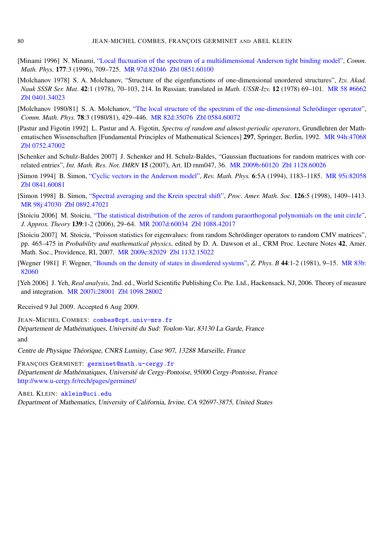- <span id="page-32-5"></span>[Minami 1996] N. Minami, ["Local fluctuation of the spectrum of a multidimensional Anderson tight binding model",](http://projecteuclid.org/getRecord?id=euclid.cmp/1104286441) *Comm. Math. Phys.* 177:3 (1996), 709–725. [MR 97d:82046](http://www.ams.org/mathscinet-getitem?mr=97d:82046) [Zbl 0851.60100](http://www.emis.de/cgi-bin/MATH-item?0851.60100)
- <span id="page-32-4"></span>[Molchanov 1978] S. A. Molchanov, "Structure of the eigenfunctions of one-dimensional unordered structures", *Izv. Akad. Nauk SSSR Ser. Mat.* 42:1 (1978), 70–103, 214. In Russian; translated in *Math. USSR-Izv.* 12 (1978) 69–101. [MR 58 #6662](http://www.ams.org/mathscinet-getitem?mr=58:6662) [Zbl 0401.34023](http://www.emis.de/cgi-bin/MATH-item?0401.34023)
- <span id="page-32-3"></span>[Molchanov 1980/81] S. A. Molchanov, ["The local structure of the spectrum of the one-dimensional Schrödinger operator",](http://projecteuclid.org/getRecord?id=euclid.cmp/1103908696) *Comm. Math. Phys.* 78:3 (1980/81), 429–446. [MR 82d:35076](http://www.ams.org/mathscinet-getitem?mr=82d:35076) [Zbl 0584.60072](http://www.emis.de/cgi-bin/MATH-item?0584.60072)
- <span id="page-32-7"></span>[Pastur and Figotin 1992] L. Pastur and A. Figotin, *Spectra of random and almost-periodic operators*, Grundlehren der Mathematischen Wissenschaften [Fundamental Principles of Mathematical Sciences] 297, Springer, Berlin, 1992. [MR 94h:47068](http://www.ams.org/mathscinet-getitem?mr=94h:47068) [Zbl 0752.47002](http://www.emis.de/cgi-bin/MATH-item?0752.47002)
- <span id="page-32-0"></span>[Schenker and Schulz-Baldes 2007] J. Schenker and H. Schulz-Baldes, "Gaussian fluctuations for random matrices with correlated entries", *Int. Math. Res. Not. IMRN* 15 (2007), Art. ID rnm047, 36. [MR 2009b:60120](http://www.ams.org/mathscinet-getitem?mr=2009b:60120) [Zbl 1128.60026](http://www.emis.de/cgi-bin/MATH-item?1128.60026)
- <span id="page-32-6"></span>[Simon 1994] B. Simon, ["Cyclic vectors in the Anderson model",](http://dx.doi.org/10.1142/S0129055X94000420) *Rev. Math. Phys.* 6:5A (1994), 1183–1185. [MR 95i:82058](http://www.ams.org/mathscinet-getitem?mr=95i:82058) [Zbl 0841.60081](http://www.emis.de/cgi-bin/MATH-item?0841.60081)
- <span id="page-32-9"></span>[Simon 1998] B. Simon, ["Spectral averaging and the Krein spectral shift",](http://dx.doi.org/10.1090/S0002-9939-98-04261-0) *Proc. Amer. Math. Soc.* 126:5 (1998), 1409–1413. [MR 98j:47030](http://www.ams.org/mathscinet-getitem?mr=98j:47030) [Zbl 0892.47021](http://www.emis.de/cgi-bin/MATH-item?0892.47021)
- <span id="page-32-1"></span>[Stoiciu 2006] M. Stoiciu, ["The statistical distribution of the zeros of random paraorthogonal polynomials on the unit circle",](http://dx.doi.org/10.1016/j.jat.2005.04.001) *J. Approx. Theory* 139:1-2 (2006), 29–64. [MR 2007d:60034](http://www.ams.org/mathscinet-getitem?mr=2007d:60034) [Zbl 1088.42017](http://www.emis.de/cgi-bin/MATH-item?1088.42017)
- <span id="page-32-2"></span>[Stoiciu 2007] M. Stoiciu, "Poisson statistics for eigenvalues: from random Schrödinger operators to random CMV matrices", pp. 465–475 in *Probability and mathematical physics*, edited by D. A. Dawson et al., CRM Proc. Lecture Notes 42, Amer. Math. Soc., Providence, RI, 2007. [MR 2009c:82029](http://www.ams.org/mathscinet-getitem?mr=2009c:82029) [Zbl 1132.15022](http://www.emis.de/cgi-bin/MATH-item?1132.15022)
- <span id="page-32-8"></span>[Wegner 1981] F. Wegner, ["Bounds on the density of states in disordered systems",](http://dx.doi.org/10.1007/BF01292646) *Z. Phys. B* 44:1-2 (1981), 9–15. [MR 83b:](http://www.ams.org/mathscinet-getitem?mr=83b:82060) [82060](http://www.ams.org/mathscinet-getitem?mr=83b:82060)
- <span id="page-32-10"></span>[Yeh 2006] J. Yeh, *Real analysis*, 2nd. ed., World Scientific Publishing Co. Pte. Ltd., Hackensack, NJ, 2006. Theory of measure and integration. [MR 2007i:28001](http://www.ams.org/mathscinet-getitem?mr=2007i:28001) [Zbl 1098.28002](http://www.emis.de/cgi-bin/MATH-item?1098.28002)

Received 9 Jul 2009. Accepted 6 Aug 2009.

JEAN-MICHEL COMBES: [combes@cpt.univ-mrs.fr](mailto:combes@cpt.univ-mrs.fr) Département de Mathématiques, Université du Sud: Toulon-Var, 83130 La Garde, France and

Centre de Physique Théorique, CNRS Luminy, Case 907, 13288 Marseille, France

FRANÇOIS GERMINET: [germinet@math.u-cergy.fr](mailto:germinet@math.u-cergy.fr) Département de Mathématiques, Université de Cergy-Pontoise, 95000 Cergy-Pontoise, France <http://www.u-cergy.fr/rech/pages/germinet/>

ABEL KLEIN: [aklein@uci.edu](mailto:aklein@uci.edu)

Department of Mathematics, University of California, Irvine, CA 92697-3875, United States